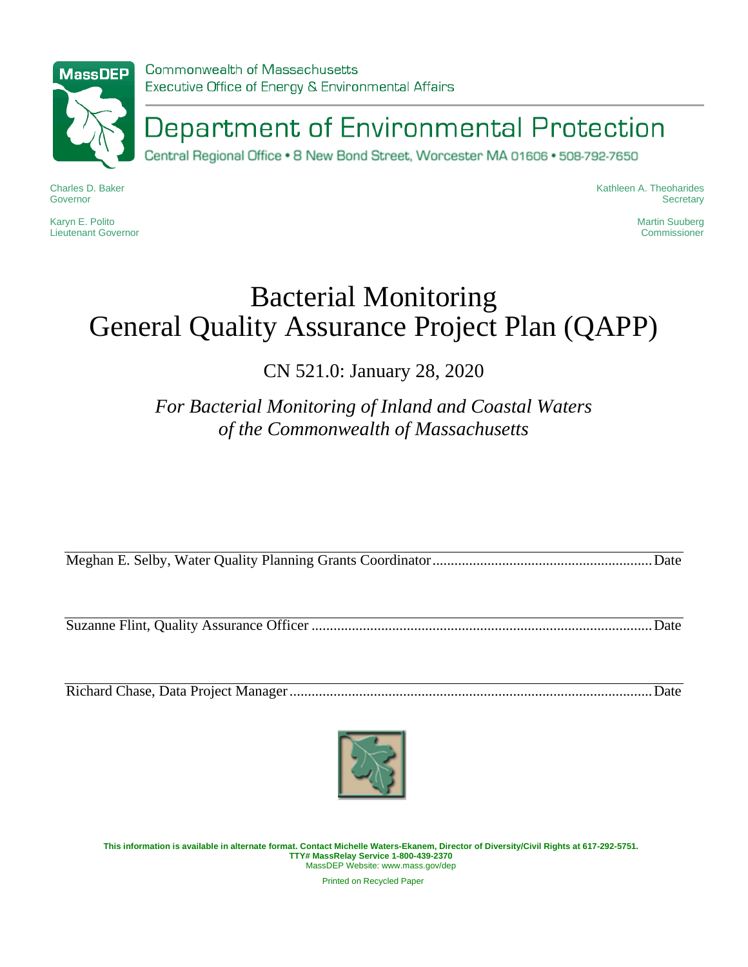

Commonwealth of Massachusetts Executive Office of Energy & Environmental Affairs

Department of Environmental Protection

Central Regional Office • 8 New Bond Street, Worcester MA 01606 • 508-792-7650

Charles D. Baker Governor

Karyn E. Polito Lieutenant Governor Kathleen A. Theoharides **Secretary** 

> Martin Suuberg **Commissioner**

# Bacterial Monitoring General Quality Assurance Project Plan (QAPP)

CN 521.0: January 28, 2020

*For Bacterial Monitoring of Inland and Coastal Waters of the Commonwealth of Massachusetts*

Meghan E. Selby, Water Quality Planning Grants Coordinator............................................................Date

Suzanne Flint, Quality Assurance Officer .............................................................................................Date

Richard Chase, Data Project Manager...................................................................................................Date



**This information is available in alternate format. Contact Michelle Waters-Ekanem, Director of Diversity/Civil Rights at 617-292-5751. TTY# MassRelay Service 1-800-439-2370** MassDEP Website: www.mass.gov/dep

Printed on Recycled Paper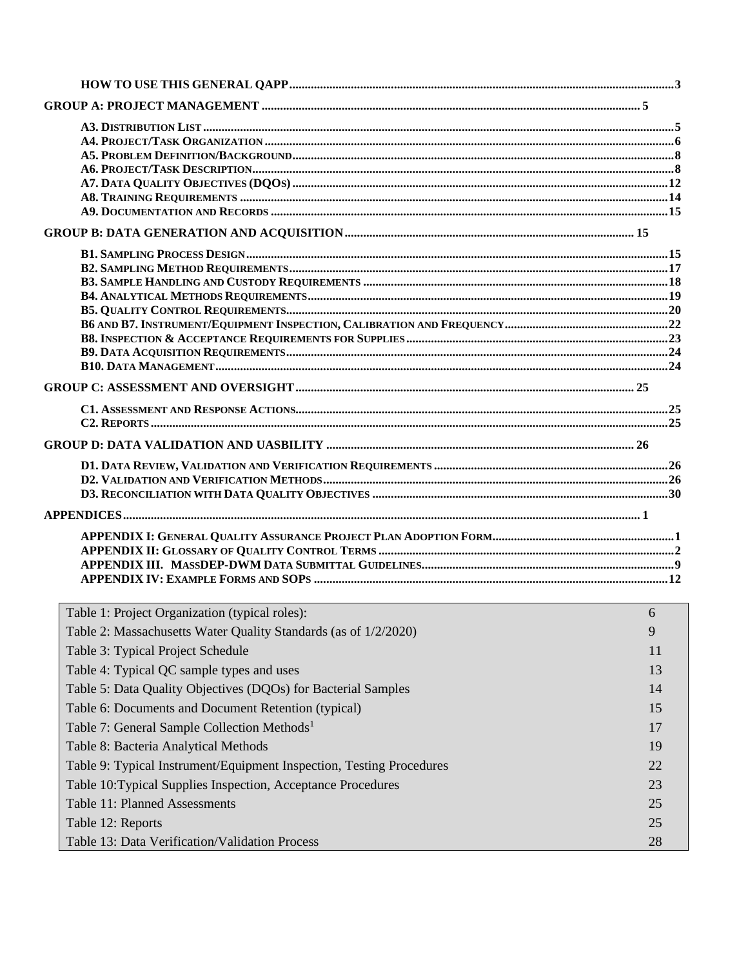| Table 1: Project Organization (typical roles):                       | 6  |
|----------------------------------------------------------------------|----|
| Table 2: Massachusetts Water Quality Standards (as of 1/2/2020)      | 9  |
| Table 3: Typical Project Schedule                                    | 11 |
| Table 4: Typical QC sample types and uses                            | 13 |
| Table 5: Data Quality Objectives (DQOs) for Bacterial Samples        | 14 |
| Table 6: Documents and Document Retention (typical)                  | 15 |
| Table 7: General Sample Collection Methods <sup>1</sup>              | 17 |
| Table 8: Bacteria Analytical Methods                                 | 19 |
|                                                                      |    |
| Table 9: Typical Instrument/Equipment Inspection, Testing Procedures | 22 |
| Table 10: Typical Supplies Inspection, Acceptance Procedures         | 23 |
| Table 11: Planned Assessments                                        | 25 |
| Table 12: Reports                                                    | 25 |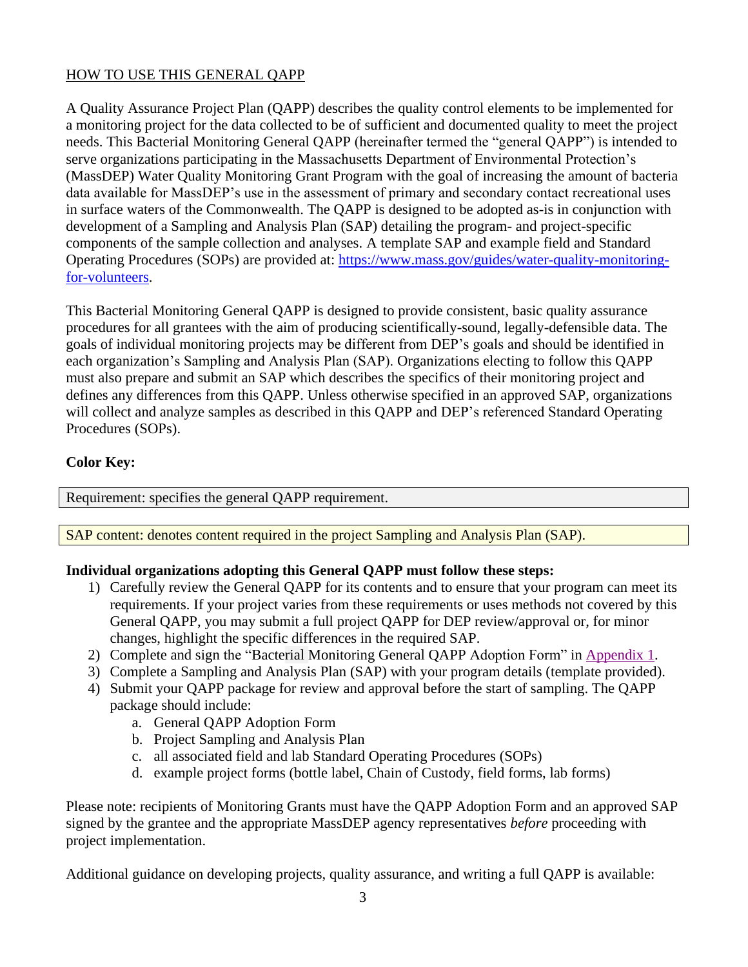# <span id="page-2-0"></span>HOW TO USE THIS GENERAL QAPP

A Quality Assurance Project Plan (QAPP) describes the quality control elements to be implemented for a monitoring project for the data collected to be of sufficient and documented quality to meet the project needs. This Bacterial Monitoring General QAPP (hereinafter termed the "general QAPP") is intended to serve organizations participating in the Massachusetts Department of Environmental Protection's (MassDEP) Water Quality Monitoring Grant Program with the goal of increasing the amount of bacteria data available for MassDEP's use in the assessment of primary and secondary contact recreational uses in surface waters of the Commonwealth. The QAPP is designed to be adopted as-is in conjunction with development of a Sampling and Analysis Plan (SAP) detailing the program- and project-specific components of the sample collection and analyses. A template SAP and example field and Standard Operating Procedures (SOPs) are provided at: [https://www.mass.gov/guides/water-quality-monitoring](https://www.mass.gov/guides/water-quality-monitoring-for-volunteers)[for-volunteers.](https://www.mass.gov/guides/water-quality-monitoring-for-volunteers)

This Bacterial Monitoring General QAPP is designed to provide consistent, basic quality assurance procedures for all grantees with the aim of producing scientifically-sound, legally-defensible data. The goals of individual monitoring projects may be different from DEP's goals and should be identified in each organization's Sampling and Analysis Plan (SAP). Organizations electing to follow this QAPP must also prepare and submit an SAP which describes the specifics of their monitoring project and defines any differences from this QAPP. Unless otherwise specified in an approved SAP, organizations will collect and analyze samples as described in this QAPP and DEP's referenced Standard Operating Procedures (SOPs).

## **Color Key:**

Requirement: specifies the general QAPP requirement.

SAP content: denotes content required in the project Sampling and Analysis Plan (SAP).

#### **Individual organizations adopting this General QAPP must follow these steps:**

- 1) Carefully review the General QAPP for its contents and to ensure that your program can meet its requirements. If your project varies from these requirements or uses methods not covered by this General QAPP, you may submit a full project QAPP for DEP review/approval or, for minor changes, highlight the specific differences in the required SAP.
- 2) Complete and sign the "Bacterial Monitoring General QAPP Adoption Form" in [Appendix](#page-30-1) 1.
- 3) Complete a Sampling and Analysis Plan (SAP) with your program details (template provided).
- 4) Submit your QAPP package for review and approval before the start of sampling. The QAPP package should include:
	- a. General QAPP Adoption Form
	- b. Project Sampling and Analysis Plan
	- c. all associated field and lab Standard Operating Procedures (SOPs)
	- d. example project forms (bottle label, Chain of Custody, field forms, lab forms)

Please note: recipients of Monitoring Grants must have the QAPP Adoption Form and an approved SAP signed by the grantee and the appropriate MassDEP agency representatives *before* proceeding with project implementation.

Additional guidance on developing projects, quality assurance, and writing a full QAPP is available: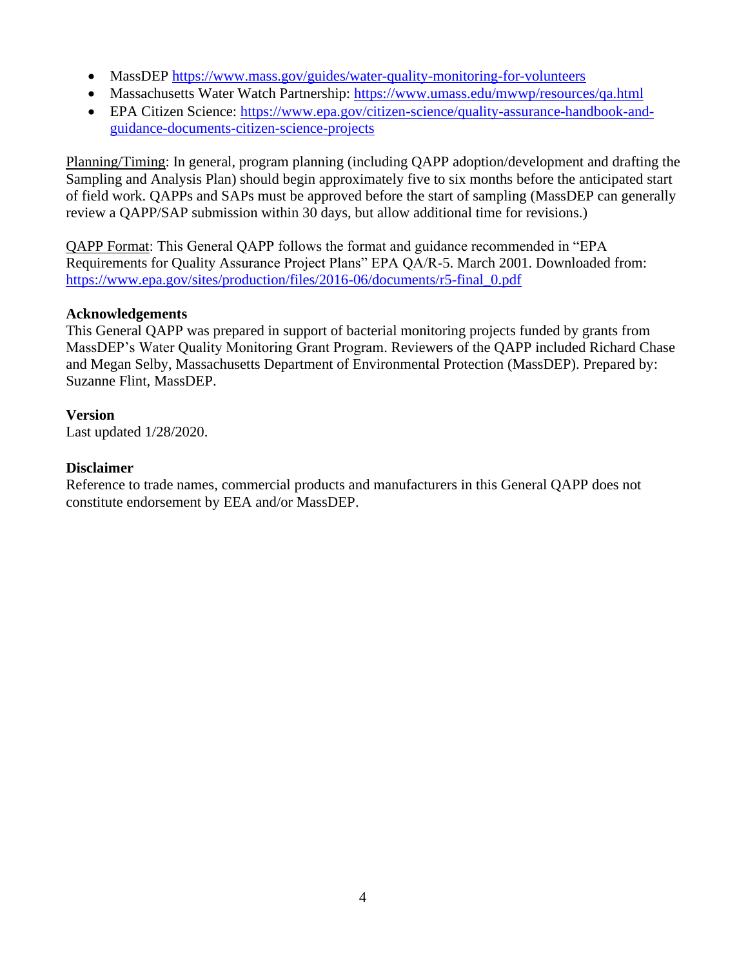- MassDEP<https://www.mass.gov/guides/water-quality-monitoring-for-volunteers>
- Massachusetts Water Watch Partnership:<https://www.umass.edu/mwwp/resources/qa.html>
- EPA Citizen Science: [https://www.epa.gov/citizen-science/quality-assurance-handbook-and](https://www.epa.gov/citizen-science/quality-assurance-handbook-and-guidance-documents-citizen-science-projects)[guidance-documents-citizen-science-projects](https://www.epa.gov/citizen-science/quality-assurance-handbook-and-guidance-documents-citizen-science-projects)

Planning/Timing: In general, program planning (including QAPP adoption/development and drafting the Sampling and Analysis Plan) should begin approximately five to six months before the anticipated start of field work. QAPPs and SAPs must be approved before the start of sampling (MassDEP can generally review a QAPP/SAP submission within 30 days, but allow additional time for revisions.)

QAPP Format: This General QAPP follows the format and guidance recommended in "EPA Requirements for Quality Assurance Project Plans" EPA QA/R-5. March 2001. Downloaded from: [https://www.epa.gov/sites/production/files/2016-06/documents/r5-final\\_0.pdf](https://www.epa.gov/sites/production/files/2016-06/documents/r5-final_0.pdf)

## **Acknowledgements**

This General QAPP was prepared in support of bacterial monitoring projects funded by grants from MassDEP's Water Quality Monitoring Grant Program. Reviewers of the QAPP included Richard Chase and Megan Selby, Massachusetts Department of Environmental Protection (MassDEP). Prepared by: Suzanne Flint, MassDEP.

## **Version**

Last updated 1/28/2020.

## **Disclaimer**

Reference to trade names, commercial products and manufacturers in this General QAPP does not constitute endorsement by EEA and/or MassDEP.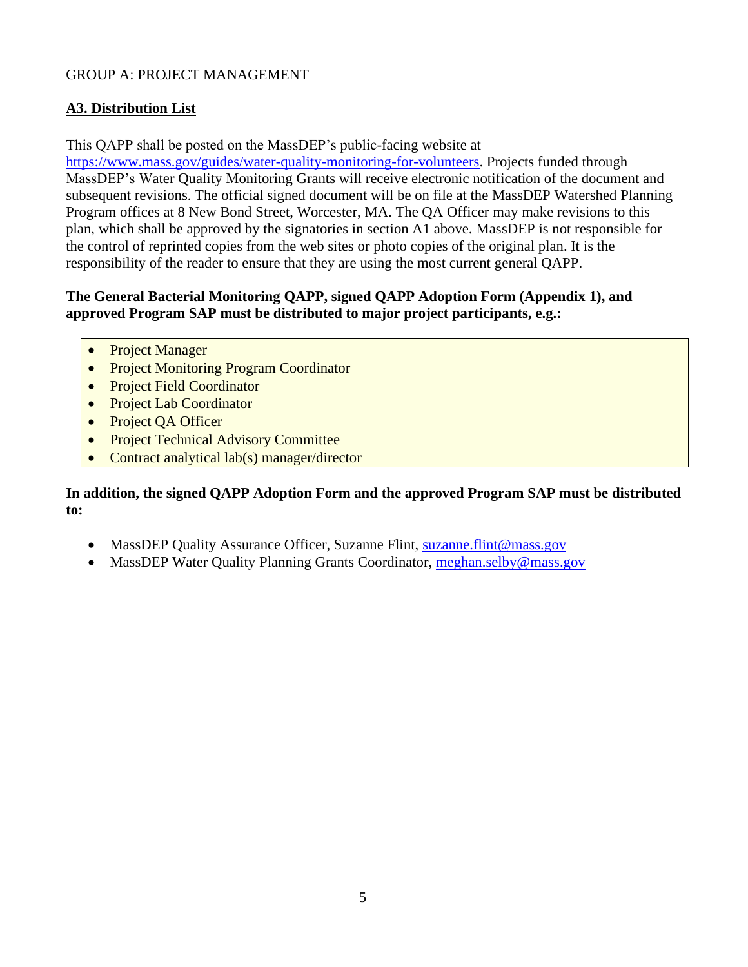## <span id="page-4-0"></span>GROUP A: PROJECT MANAGEMENT

## <span id="page-4-1"></span>**A3. Distribution List**

This QAPP shall be posted on the MassDEP's public-facing website at

[https://www.mass.gov/guides/water-quality-monitoring-for-volunteers.](https://www.mass.gov/guides/water-quality-monitoring-for-volunteers) Projects funded through MassDEP's Water Quality Monitoring Grants will receive electronic notification of the document and subsequent revisions. The official signed document will be on file at the MassDEP Watershed Planning Program offices at 8 New Bond Street, Worcester, MA. The QA Officer may make revisions to this plan, which shall be approved by the signatories in section A1 above. MassDEP is not responsible for the control of reprinted copies from the web sites or photo copies of the original plan. It is the responsibility of the reader to ensure that they are using the most current general QAPP.

## **The General Bacterial Monitoring QAPP, signed QAPP Adoption Form (Appendix 1), and approved Program SAP must be distributed to major project participants, e.g.:**

- Project Manager
- Project Monitoring Program Coordinator
- Project Field Coordinator
- **Project Lab Coordinator**
- Project QA Officer
- **Project Technical Advisory Committee**
- Contract analytical lab(s) manager/director

#### **In addition, the signed QAPP Adoption Form and the approved Program SAP must be distributed to:**

- MassDEP Quality Assurance Officer, Suzanne Flint, [suzanne.flint@mass.gov](mailto:suzanne.flint@mass.gov)
- MassDEP Water Quality Planning Grants Coordinator, [meghan.selby@mass.gov](mailto:meghan.selby@mass.gov)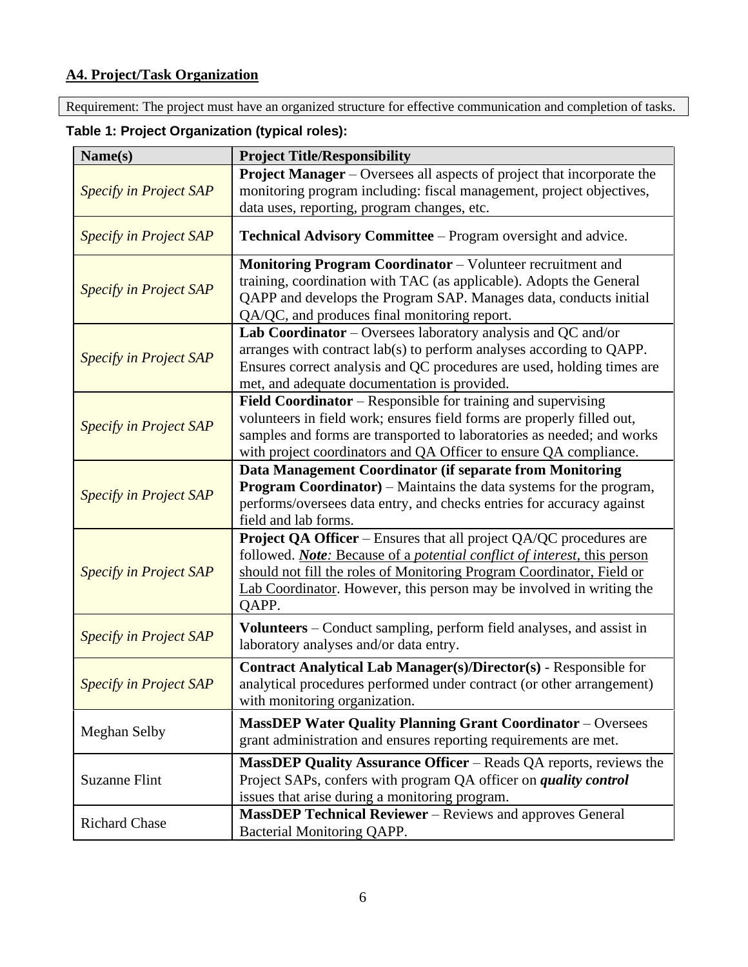# <span id="page-5-0"></span>**A4. Project/Task Organization**

Requirement: The project must have an organized structure for effective communication and completion of tasks.

| Name(s)                       | <b>Project Title/Responsibility</b>                                                                                                                                                                                                                                                                                     |  |  |
|-------------------------------|-------------------------------------------------------------------------------------------------------------------------------------------------------------------------------------------------------------------------------------------------------------------------------------------------------------------------|--|--|
| <b>Specify in Project SAP</b> | <b>Project Manager</b> – Oversees all aspects of project that incorporate the<br>monitoring program including: fiscal management, project objectives,<br>data uses, reporting, program changes, etc.                                                                                                                    |  |  |
| <b>Specify in Project SAP</b> | Technical Advisory Committee – Program oversight and advice.                                                                                                                                                                                                                                                            |  |  |
| <b>Specify in Project SAP</b> | <b>Monitoring Program Coordinator</b> – Volunteer recruitment and<br>training, coordination with TAC (as applicable). Adopts the General<br>QAPP and develops the Program SAP. Manages data, conducts initial<br>QA/QC, and produces final monitoring report.                                                           |  |  |
| <b>Specify in Project SAP</b> | Lab Coordinator - Oversees laboratory analysis and QC and/or<br>arranges with contract lab(s) to perform analyses according to QAPP.<br>Ensures correct analysis and QC procedures are used, holding times are<br>met, and adequate documentation is provided.                                                          |  |  |
| <b>Specify in Project SAP</b> | <b>Field Coordinator</b> – Responsible for training and supervising<br>volunteers in field work; ensures field forms are properly filled out,<br>samples and forms are transported to laboratories as needed; and works<br>with project coordinators and QA Officer to ensure QA compliance.                            |  |  |
| Specify in Project SAP        | Data Management Coordinator (if separate from Monitoring<br><b>Program Coordinator</b> ) – Maintains the data systems for the program,<br>performs/oversees data entry, and checks entries for accuracy against<br>field and lab forms.                                                                                 |  |  |
| Specify in Project SAP        | Project QA Officer - Ensures that all project QA/QC procedures are<br>followed. <i>Note:</i> Because of a <i>potential conflict of interest</i> , this person<br>should not fill the roles of Monitoring Program Coordinator, Field or<br>Lab Coordinator. However, this person may be involved in writing the<br>QAPP. |  |  |
| <b>Specify in Project SAP</b> | Volunteers - Conduct sampling, perform field analyses, and assist in<br>laboratory analyses and/or data entry.                                                                                                                                                                                                          |  |  |
| Specify in Project SAP        | Contract Analytical Lab Manager(s)/Director(s) - Responsible for<br>analytical procedures performed under contract (or other arrangement)<br>with monitoring organization.                                                                                                                                              |  |  |
| <b>Meghan Selby</b>           | <b>MassDEP Water Quality Planning Grant Coordinator - Oversees</b><br>grant administration and ensures reporting requirements are met.                                                                                                                                                                                  |  |  |
| <b>Suzanne Flint</b>          | <b>MassDEP Quality Assurance Officer</b> – Reads QA reports, reviews the<br>Project SAPs, confers with program QA officer on <i>quality control</i><br>issues that arise during a monitoring program.                                                                                                                   |  |  |
| <b>Richard Chase</b>          | <b>MassDEP Technical Reviewer</b> – Reviews and approves General<br>Bacterial Monitoring QAPP.                                                                                                                                                                                                                          |  |  |

# <span id="page-5-1"></span>**Table 1: Project Organization (typical roles):**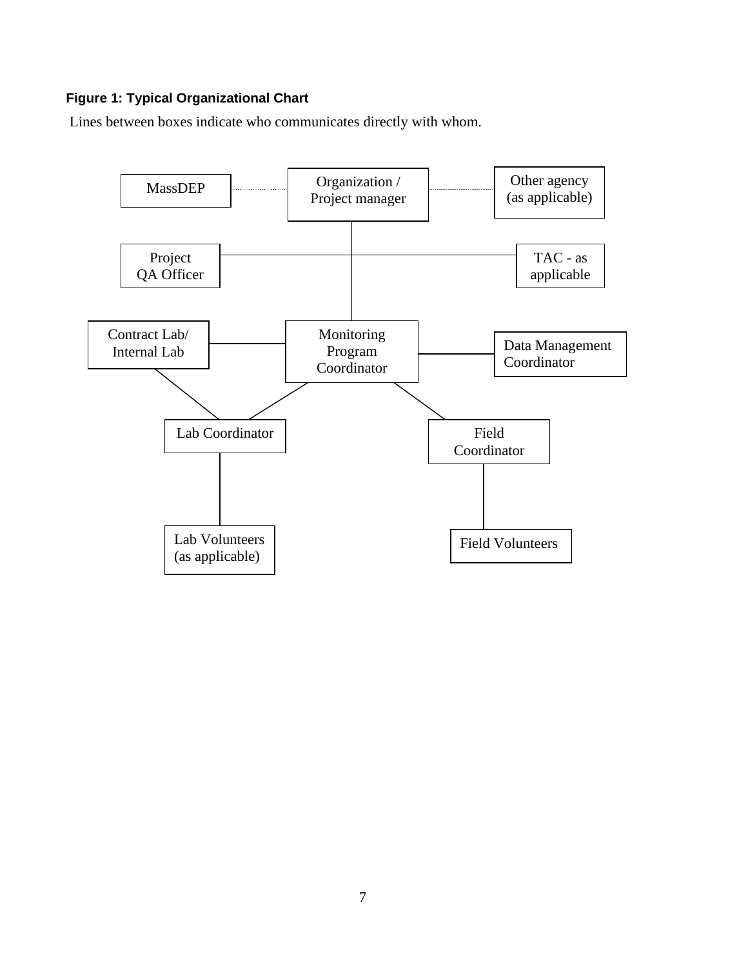# **Figure 1: Typical Organizational Chart**

Lines between boxes indicate who communicates directly with whom.

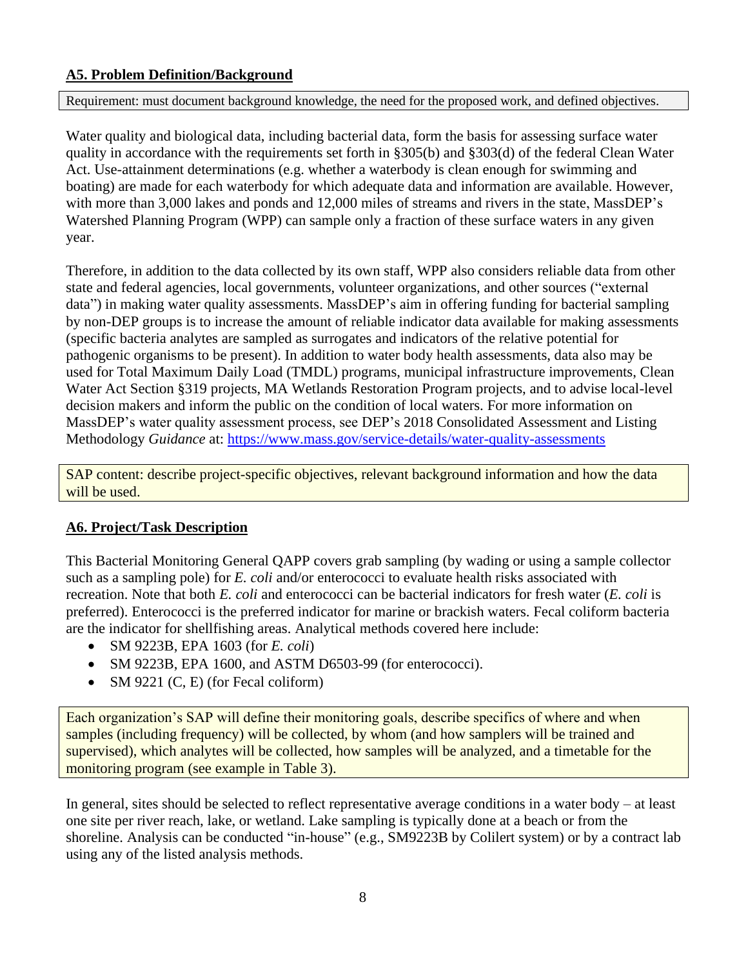## <span id="page-7-0"></span>**A5. Problem Definition/Background**

Requirement: must document background knowledge, the need for the proposed work, and defined objectives.

Water quality and biological data, including bacterial data, form the basis for assessing surface water quality in accordance with the requirements set forth in §305(b) and §303(d) of the federal Clean Water Act. Use-attainment determinations (e.g. whether a waterbody is clean enough for swimming and boating) are made for each waterbody for which adequate data and information are available. However, with more than 3,000 lakes and ponds and 12,000 miles of streams and rivers in the state, MassDEP's Watershed Planning Program (WPP) can sample only a fraction of these surface waters in any given year.

Therefore, in addition to the data collected by its own staff, WPP also considers reliable data from other state and federal agencies, local governments, volunteer organizations, and other sources ("external data") in making water quality assessments. MassDEP's aim in offering funding for bacterial sampling by non-DEP groups is to increase the amount of reliable indicator data available for making assessments (specific bacteria analytes are sampled as surrogates and indicators of the relative potential for pathogenic organisms to be present). In addition to water body health assessments, data also may be used for Total Maximum Daily Load (TMDL) programs, municipal infrastructure improvements, Clean Water Act Section §319 projects, MA Wetlands Restoration Program projects, and to advise local-level decision makers and inform the public on the condition of local waters. For more information on MassDEP's water quality assessment process, see DEP's 2018 Consolidated Assessment and Listing Methodology *Guidance* at: <https://www.mass.gov/service-details/water-quality-assessments>

SAP content: describe project-specific objectives, relevant background information and how the data will be used.

## <span id="page-7-1"></span>**A6. Project/Task Description**

This Bacterial Monitoring General QAPP covers grab sampling (by wading or using a sample collector such as a sampling pole) for *E. coli* and/or enterococci to evaluate health risks associated with recreation. Note that both *E. coli* and enterococci can be bacterial indicators for fresh water (*E. coli* is preferred). Enterococci is the preferred indicator for marine or brackish waters. Fecal coliform bacteria are the indicator for shellfishing areas. Analytical methods covered here include:

- SM 9223B, EPA 1603 (for *E. coli*)
- SM 9223B, EPA 1600, and ASTM D6503-99 (for enterococci).
- SM 9221 (C, E) (for Fecal coliform)

Each organization's SAP will define their monitoring goals, describe specifics of where and when samples (including frequency) will be collected, by whom (and how samplers will be trained and supervised), which analytes will be collected, how samples will be analyzed, and a timetable for the monitoring program (see example in Table 3).

In general, sites should be selected to reflect representative average conditions in a water body – at least one site per river reach, lake, or wetland. Lake sampling is typically done at a beach or from the shoreline. Analysis can be conducted "in-house" (e.g., SM9223B by Colilert system) or by a contract lab using any of the listed analysis methods.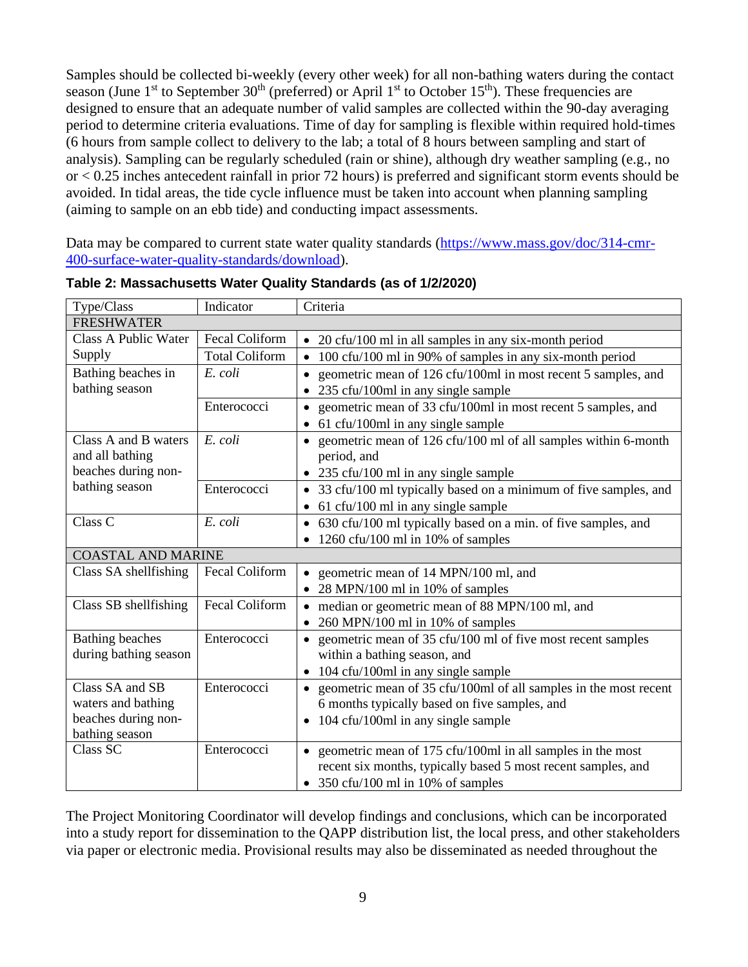Samples should be collected bi-weekly (every other week) for all non-bathing waters during the contact season (June  $1<sup>st</sup>$  to September 30<sup>th</sup> (preferred) or April  $1<sup>st</sup>$  to October 15<sup>th</sup>). These frequencies are designed to ensure that an adequate number of valid samples are collected within the 90-day averaging period to determine criteria evaluations. Time of day for sampling is flexible within required hold-times (6 hours from sample collect to delivery to the lab; a total of 8 hours between sampling and start of analysis). Sampling can be regularly scheduled (rain or shine), although dry weather sampling (e.g., no or < 0.25 inches antecedent rainfall in prior 72 hours) is preferred and significant storm events should be avoided. In tidal areas, the tide cycle influence must be taken into account when planning sampling (aiming to sample on an ebb tide) and conducting impact assessments.

Data may be compared to current state water quality standards [\(https://www.mass.gov/doc/314-cmr-](https://www.mass.gov/doc/314-cmr-400-surface-water-quality-standards/download)[400-surface-water-quality-standards/download\)](https://www.mass.gov/doc/314-cmr-400-surface-water-quality-standards/download).

| Type/Class                  | Indicator             | Criteria                                                                      |
|-----------------------------|-----------------------|-------------------------------------------------------------------------------|
| <b>FRESHWATER</b>           |                       |                                                                               |
| <b>Class A Public Water</b> | <b>Fecal Coliform</b> | 20 cfu/100 ml in all samples in any six-month period                          |
| Supply                      | <b>Total Coliform</b> | 100 cfu/100 ml in 90% of samples in any six-month period                      |
| Bathing beaches in          | E. coli               | geometric mean of 126 cfu/100ml in most recent 5 samples, and<br>$\bullet$    |
| bathing season              |                       | 235 cfu/100ml in any single sample                                            |
|                             | Enterococci           | geometric mean of 33 cfu/100ml in most recent 5 samples, and<br>٠             |
|                             |                       | 61 cfu/100ml in any single sample                                             |
| Class A and B waters        | E. coli               | geometric mean of 126 cfu/100 ml of all samples within 6-month                |
| and all bathing             |                       | period, and                                                                   |
| beaches during non-         |                       | • 235 cfu/100 ml in any single sample                                         |
| bathing season              | Enterococci           | 33 cfu/100 ml typically based on a minimum of five samples, and<br>$\bullet$  |
|                             |                       | 61 cfu/100 ml in any single sample<br>$\bullet$                               |
| Class <sub>C</sub>          | E. coli               | • 630 cfu/100 ml typically based on a min. of five samples, and               |
|                             |                       | 1260 cfu/100 ml in 10% of samples<br>$\bullet$                                |
| <b>COASTAL AND MARINE</b>   |                       |                                                                               |
| Class SA shellfishing       | <b>Fecal Coliform</b> | geometric mean of 14 MPN/100 ml, and                                          |
|                             |                       | 28 MPN/100 ml in 10% of samples                                               |
| Class SB shellfishing       | Fecal Coliform        | • median or geometric mean of 88 MPN/100 ml, and                              |
|                             |                       | 260 MPN/100 ml in 10% of samples                                              |
| <b>Bathing beaches</b>      | Enterococci           | geometric mean of 35 cfu/100 ml of five most recent samples                   |
| during bathing season       |                       | within a bathing season, and                                                  |
|                             |                       | 104 cfu/100ml in any single sample<br>$\bullet$                               |
| Class SA and SB             | Enterococci           | geometric mean of 35 cfu/100ml of all samples in the most recent<br>$\bullet$ |
| waters and bathing          |                       | 6 months typically based on five samples, and                                 |
| beaches during non-         |                       | 104 cfu/100ml in any single sample<br>٠                                       |
| bathing season              |                       |                                                                               |
| Class SC                    | Enterococci           | geometric mean of 175 cfu/100ml in all samples in the most                    |
|                             |                       | recent six months, typically based 5 most recent samples, and                 |
|                             |                       | • 350 cfu/100 ml in 10% of samples                                            |

<span id="page-8-0"></span>**Table 2: Massachusetts Water Quality Standards (as of 1/2/2020)**

The Project Monitoring Coordinator will develop findings and conclusions, which can be incorporated into a study report for dissemination to the QAPP distribution list, the local press, and other stakeholders via paper or electronic media. Provisional results may also be disseminated as needed throughout the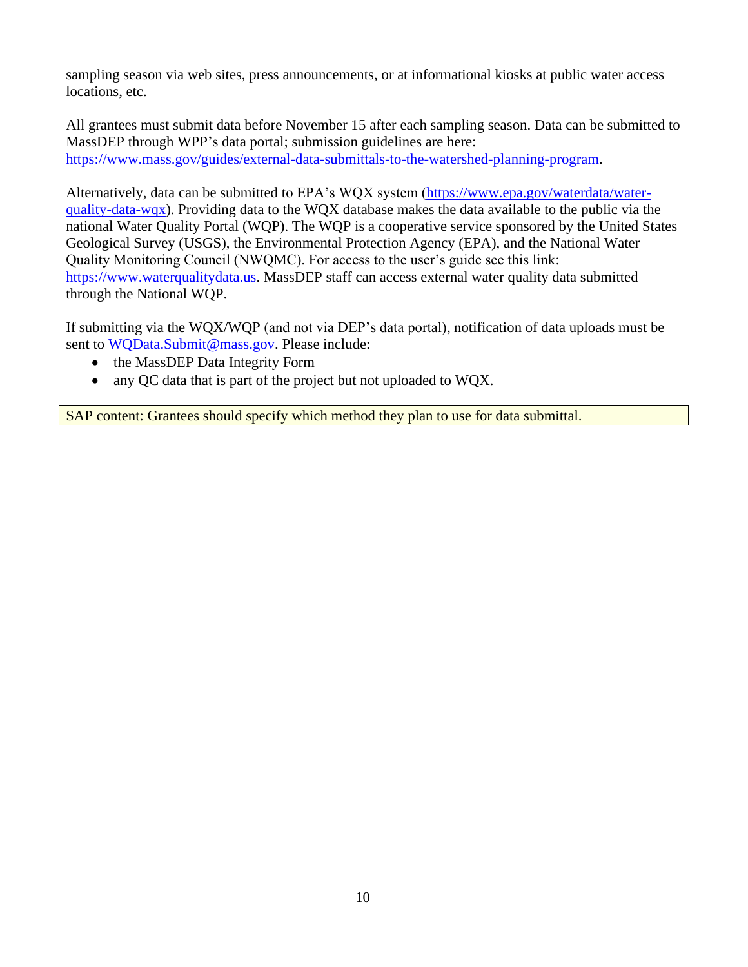sampling season via web sites, press announcements, or at informational kiosks at public water access locations, etc.

All grantees must submit data before November 15 after each sampling season. Data can be submitted to MassDEP through WPP's data portal; submission guidelines are here: [https://www.mass.gov/guides/external-data-submittals-to-the-watershed-planning-program.](https://www.mass.gov/guides/external-data-submittals-to-the-watershed-planning-program)

Alternatively, data can be submitted to EPA's WQX system [\(https://www.epa.gov/waterdata/water](https://www.epa.gov/waterdata/water-quality-data-wqx)[quality-data-wqx\)](https://www.epa.gov/waterdata/water-quality-data-wqx). Providing data to the WQX database makes the data available to the public via the national Water Quality Portal (WQP). The WQP is a cooperative service sponsored by the United States Geological Survey (USGS), the Environmental Protection Agency (EPA), and the National Water Quality Monitoring Council (NWQMC). For access to the user's guide see this link: [https://www.waterqualitydata.us.](https://www.waterqualitydata.us/) MassDEP staff can access external water quality data submitted through the National WQP.

If submitting via the WQX/WQP (and not via DEP's data portal), notification of data uploads must be sent to WOData.Submit@mass.gov. Please include:

- the MassDEP Data Integrity Form
- any OC data that is part of the project but not uploaded to WOX.

SAP content: Grantees should specify which method they plan to use for data submittal.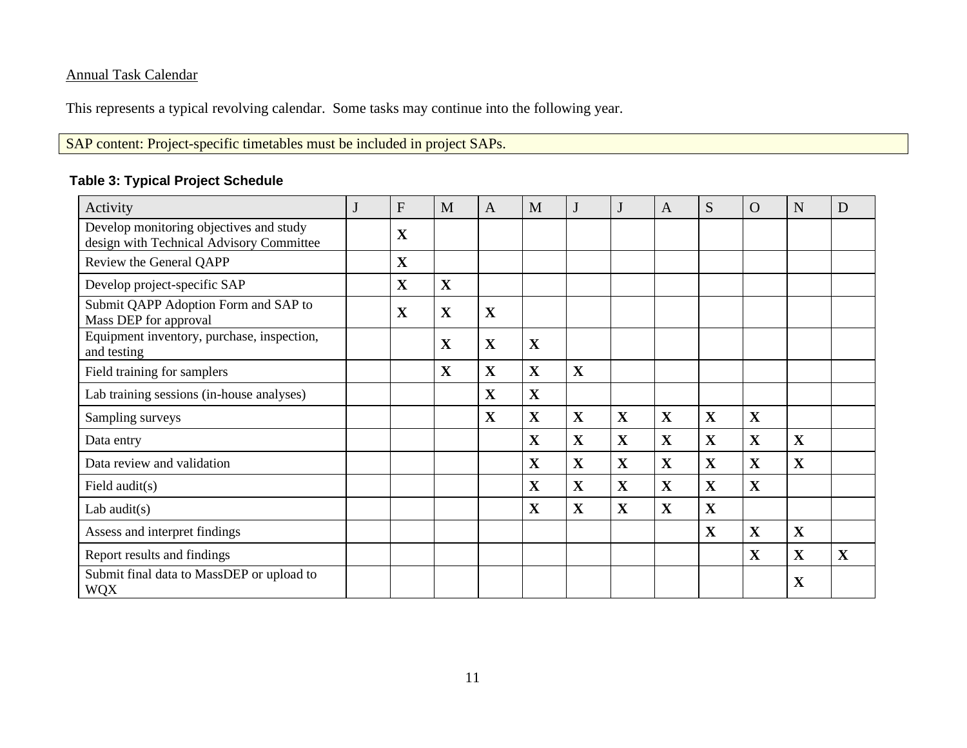# Annual Task Calendar

This represents a typical revolving calendar. Some tasks may continue into the following year.

SAP content: Project-specific timetables must be included in project SAPs.

## **Table 3: Typical Project Schedule**

<span id="page-10-0"></span>

| Activity                                                                            | F           | M           | $\mathbf{A}$ | M | J           | J           | A            | S | $\Omega$     | N            | D           |
|-------------------------------------------------------------------------------------|-------------|-------------|--------------|---|-------------|-------------|--------------|---|--------------|--------------|-------------|
| Develop monitoring objectives and study<br>design with Technical Advisory Committee | $\mathbf X$ |             |              |   |             |             |              |   |              |              |             |
| Review the General QAPP                                                             | $\mathbf X$ |             |              |   |             |             |              |   |              |              |             |
| Develop project-specific SAP                                                        | $\mathbf X$ | X           |              |   |             |             |              |   |              |              |             |
| Submit QAPP Adoption Form and SAP to<br>Mass DEP for approval                       | $\mathbf X$ | $\mathbf X$ | X            |   |             |             |              |   |              |              |             |
| Equipment inventory, purchase, inspection,<br>and testing                           |             | $\mathbf X$ | X            | X |             |             |              |   |              |              |             |
| Field training for samplers                                                         |             | $\mathbf X$ | X            | X | $\mathbf X$ |             |              |   |              |              |             |
| Lab training sessions (in-house analyses)                                           |             |             | $\mathbf X$  | X |             |             |              |   |              |              |             |
| Sampling surveys                                                                    |             |             | X            | X | $\mathbf X$ | X           | $\mathbf X$  | X | $\mathbf X$  |              |             |
| Data entry                                                                          |             |             |              | X | $\mathbf X$ | X           | $\mathbf{X}$ | X | $\mathbf X$  | X            |             |
| Data review and validation                                                          |             |             |              | X | $\mathbf X$ | X           | $\mathbf{X}$ | X | $\mathbf X$  | X            |             |
| Field audit(s)                                                                      |             |             |              | X | $\mathbf X$ | $\mathbf X$ | $\mathbf X$  | X | $\mathbf X$  |              |             |
| Lab audit $(s)$                                                                     |             |             |              | X | $\mathbf X$ | X           | $\mathbf{X}$ | X |              |              |             |
| Assess and interpret findings                                                       |             |             |              |   |             |             |              | X | $\mathbf{X}$ | $\mathbf{X}$ |             |
| Report results and findings                                                         |             |             |              |   |             |             |              |   | $\mathbf X$  | X            | $\mathbf X$ |
| Submit final data to MassDEP or upload to<br><b>WQX</b>                             |             |             |              |   |             |             |              |   |              | $\mathbf X$  |             |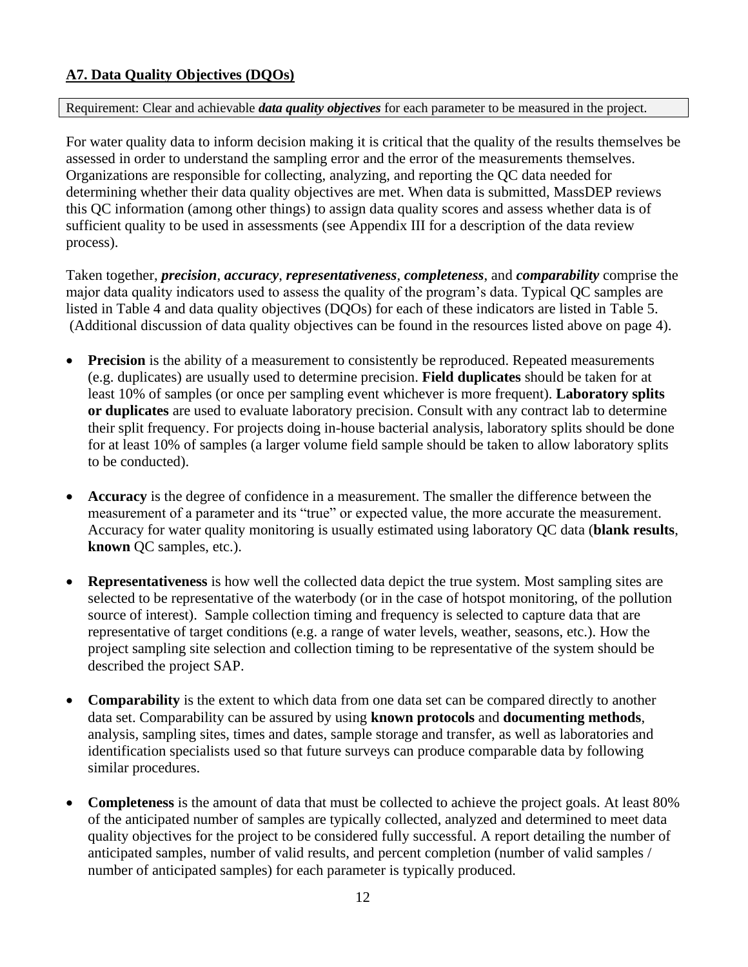# <span id="page-11-0"></span>**A7. Data Quality Objectives (DQOs)**

#### Requirement: Clear and achievable *data quality objectives* for each parameter to be measured in the project.

For water quality data to inform decision making it is critical that the quality of the results themselves be assessed in order to understand the sampling error and the error of the measurements themselves. Organizations are responsible for collecting, analyzing, and reporting the QC data needed for determining whether their data quality objectives are met. When data is submitted, MassDEP reviews this QC information (among other things) to assign data quality scores and assess whether data is of sufficient quality to be used in assessments (see Appendix III for a description of the data review process).

Taken together, *precision*, *accuracy*, *representativeness*, *completeness*, and *comparability* comprise the major data quality indicators used to assess the quality of the program's data. Typical QC samples are listed in [Table 4](#page-12-0) and data quality objectives (DQOs) for each of these indicators are listed in Table 5. (Additional discussion of data quality objectives can be found in the resources listed above on page 4).

- **Precision** is the ability of a measurement to consistently be reproduced. Repeated measurements (e.g. duplicates) are usually used to determine precision. **Field duplicates** should be taken for at least 10% of samples (or once per sampling event whichever is more frequent). **Laboratory splits or duplicates** are used to evaluate laboratory precision. Consult with any contract lab to determine their split frequency. For projects doing in-house bacterial analysis, laboratory splits should be done for at least 10% of samples (a larger volume field sample should be taken to allow laboratory splits to be conducted).
- **Accuracy** is the degree of confidence in a measurement. The smaller the difference between the measurement of a parameter and its "true" or expected value, the more accurate the measurement. Accuracy for water quality monitoring is usually estimated using laboratory QC data (**blank results**, **known** QC samples, etc.).
- **Representativeness** is how well the collected data depict the true system. Most sampling sites are selected to be representative of the waterbody (or in the case of hotspot monitoring, of the pollution source of interest). Sample collection timing and frequency is selected to capture data that are representative of target conditions (e.g. a range of water levels, weather, seasons, etc.). How the project sampling site selection and collection timing to be representative of the system should be described the project SAP.
- **Comparability** is the extent to which data from one data set can be compared directly to another data set. Comparability can be assured by using **known protocols** and **documenting methods**, analysis, sampling sites, times and dates, sample storage and transfer, as well as laboratories and identification specialists used so that future surveys can produce comparable data by following similar procedures.
- **Completeness** is the amount of data that must be collected to achieve the project goals. At least 80% of the anticipated number of samples are typically collected, analyzed and determined to meet data quality objectives for the project to be considered fully successful. A report detailing the number of anticipated samples, number of valid results, and percent completion (number of valid samples / number of anticipated samples) for each parameter is typically produced.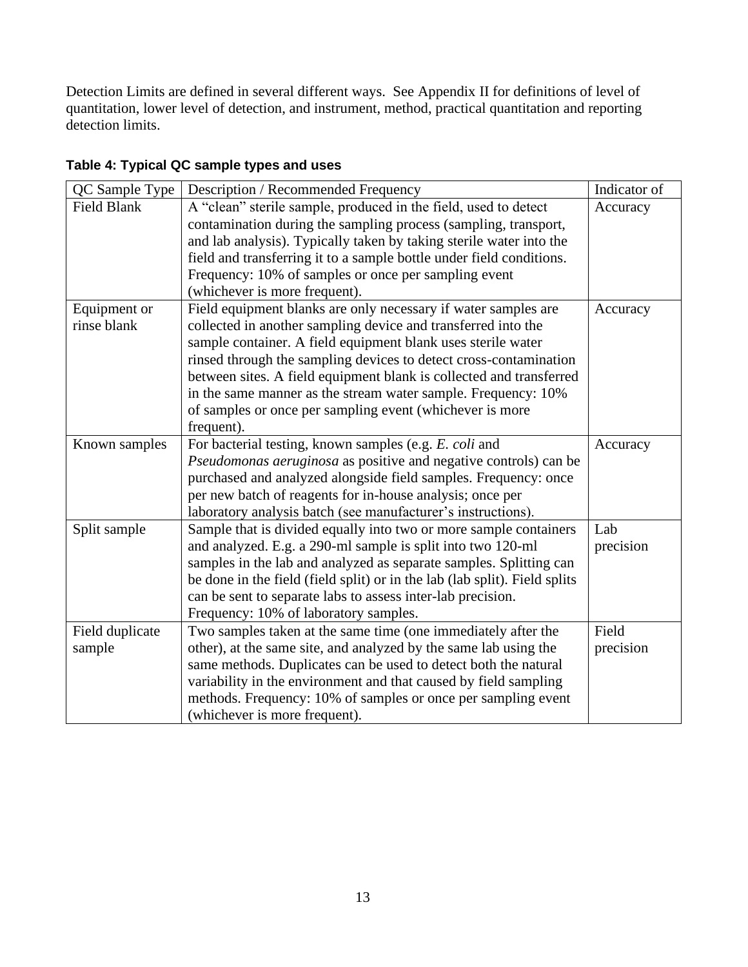Detection Limits are defined in several different ways. See Appendix II for definitions of level of quantitation, lower level of detection, and instrument, method, practical quantitation and reporting detection limits.

| QC Sample Type     | Description / Recommended Frequency                                        | Indicator of |
|--------------------|----------------------------------------------------------------------------|--------------|
| <b>Field Blank</b> | A "clean" sterile sample, produced in the field, used to detect            | Accuracy     |
|                    | contamination during the sampling process (sampling, transport,            |              |
|                    | and lab analysis). Typically taken by taking sterile water into the        |              |
|                    | field and transferring it to a sample bottle under field conditions.       |              |
|                    | Frequency: 10% of samples or once per sampling event                       |              |
|                    | (whichever is more frequent).                                              |              |
| Equipment or       | Field equipment blanks are only necessary if water samples are             | Accuracy     |
| rinse blank        | collected in another sampling device and transferred into the              |              |
|                    | sample container. A field equipment blank uses sterile water               |              |
|                    | rinsed through the sampling devices to detect cross-contamination          |              |
|                    | between sites. A field equipment blank is collected and transferred        |              |
|                    | in the same manner as the stream water sample. Frequency: 10%              |              |
|                    | of samples or once per sampling event (whichever is more                   |              |
|                    | frequent).                                                                 |              |
| Known samples      | For bacterial testing, known samples (e.g. E. coli and                     | Accuracy     |
|                    | Pseudomonas aeruginosa as positive and negative controls) can be           |              |
|                    | purchased and analyzed alongside field samples. Frequency: once            |              |
|                    | per new batch of reagents for in-house analysis; once per                  |              |
|                    | laboratory analysis batch (see manufacturer's instructions).               |              |
| Split sample       | Sample that is divided equally into two or more sample containers          | Lab          |
|                    | and analyzed. E.g. a 290-ml sample is split into two 120-ml                | precision    |
|                    | samples in the lab and analyzed as separate samples. Splitting can         |              |
|                    | be done in the field (field split) or in the lab (lab split). Field splits |              |
|                    | can be sent to separate labs to assess inter-lab precision.                |              |
|                    | Frequency: 10% of laboratory samples.                                      |              |
| Field duplicate    | Two samples taken at the same time (one immediately after the              | Field        |
| sample             | other), at the same site, and analyzed by the same lab using the           | precision    |
|                    | same methods. Duplicates can be used to detect both the natural            |              |
|                    | variability in the environment and that caused by field sampling           |              |
|                    | methods. Frequency: 10% of samples or once per sampling event              |              |
|                    | (whichever is more frequent).                                              |              |

# <span id="page-12-0"></span>**Table 4: Typical QC sample types and uses**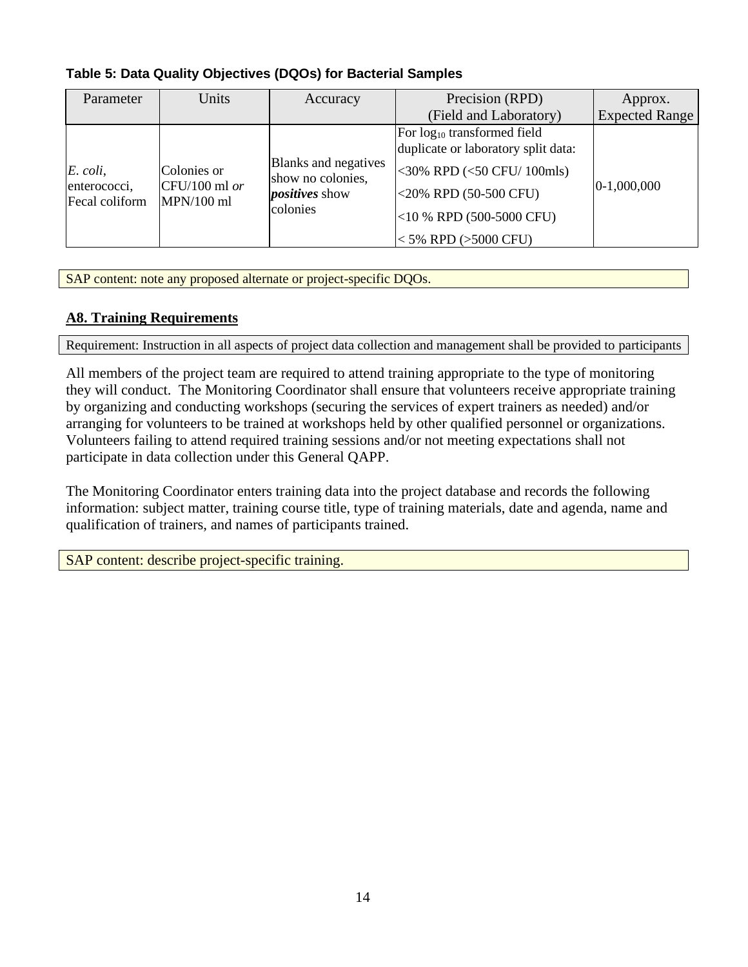| Parameter                                  | Units                                          | Accuracy                                                                       | Precision (RPD)                                                                                                                                                                                       | Approx.               |
|--------------------------------------------|------------------------------------------------|--------------------------------------------------------------------------------|-------------------------------------------------------------------------------------------------------------------------------------------------------------------------------------------------------|-----------------------|
|                                            |                                                |                                                                                | (Field and Laboratory)                                                                                                                                                                                | <b>Expected Range</b> |
| E. coli,<br>enterococci,<br>Fecal coliform | Colonies or<br>$CFU/100$ ml or<br>$MPN/100$ ml | Blanks and negatives<br>show no colonies,<br><i>positives</i> show<br>colonies | For log <sub>10</sub> transformed field<br>duplicate or laboratory split data:<br><30% RPD (<50 CFU/ 100mls)<br>$<$ 20% RPD (50-500 CFU)<br>$<$ 10 % RPD (500-5000 CFU)<br>$<$ 5% RPD ( $>$ 5000 CFU) | $ 0-1,000,000$        |

<span id="page-13-1"></span>**Table 5: Data Quality Objectives (DQOs) for Bacterial Samples**

SAP content: note any proposed alternate or project-specific DQOs.

## <span id="page-13-0"></span>**A8. Training Requirements**

Requirement: Instruction in all aspects of project data collection and management shall be provided to participants

All members of the project team are required to attend training appropriate to the type of monitoring they will conduct. The Monitoring Coordinator shall ensure that volunteers receive appropriate training by organizing and conducting workshops (securing the services of expert trainers as needed) and/or arranging for volunteers to be trained at workshops held by other qualified personnel or organizations. Volunteers failing to attend required training sessions and/or not meeting expectations shall not participate in data collection under this General QAPP.

The Monitoring Coordinator enters training data into the project database and records the following information: subject matter, training course title, type of training materials, date and agenda, name and qualification of trainers, and names of participants trained.

SAP content: describe project-specific training.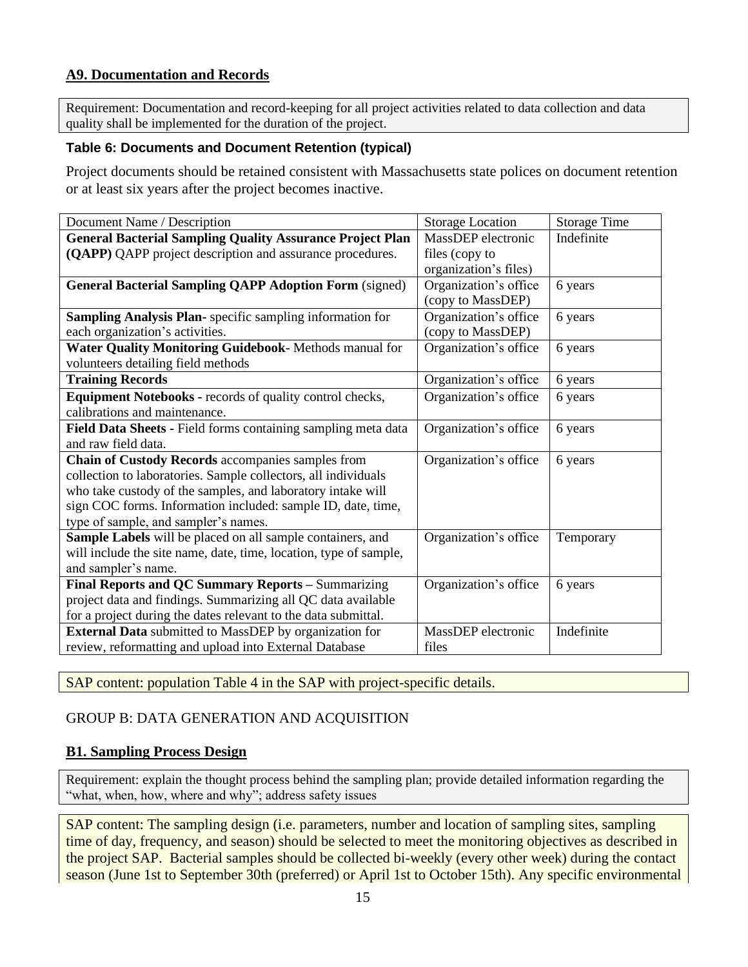## <span id="page-14-0"></span>**A9. Documentation and Records**

Requirement: Documentation and record-keeping for all project activities related to data collection and data quality shall be implemented for the duration of the project.

#### <span id="page-14-3"></span>**Table 6: Documents and Document Retention (typical)**

Project documents should be retained consistent with Massachusetts state polices on document retention or at least six years after the project becomes inactive.

| Document Name / Description                                       | <b>Storage Location</b> | <b>Storage Time</b> |
|-------------------------------------------------------------------|-------------------------|---------------------|
| <b>General Bacterial Sampling Quality Assurance Project Plan</b>  | MassDEP electronic      | Indefinite          |
| (QAPP) QAPP project description and assurance procedures.         | files (copy to          |                     |
|                                                                   | organization's files)   |                     |
| <b>General Bacterial Sampling QAPP Adoption Form (signed)</b>     | Organization's office   | 6 years             |
|                                                                   | (copy to MassDEP)       |                     |
| Sampling Analysis Plan- specific sampling information for         | Organization's office   | 6 years             |
| each organization's activities.                                   | (copy to MassDEP)       |                     |
| Water Quality Monitoring Guidebook- Methods manual for            | Organization's office   | 6 years             |
| volunteers detailing field methods                                |                         |                     |
| <b>Training Records</b>                                           | Organization's office   | 6 years             |
| Equipment Notebooks - records of quality control checks,          | Organization's office   | 6 years             |
| calibrations and maintenance.                                     |                         |                     |
| Field Data Sheets - Field forms containing sampling meta data     | Organization's office   | 6 years             |
| and raw field data.                                               |                         |                     |
| Chain of Custody Records accompanies samples from                 | Organization's office   | 6 years             |
| collection to laboratories. Sample collectors, all individuals    |                         |                     |
| who take custody of the samples, and laboratory intake will       |                         |                     |
| sign COC forms. Information included: sample ID, date, time,      |                         |                     |
| type of sample, and sampler's names.                              |                         |                     |
| Sample Labels will be placed on all sample containers, and        | Organization's office   | Temporary           |
| will include the site name, date, time, location, type of sample, |                         |                     |
| and sampler's name.                                               |                         |                     |
| Final Reports and QC Summary Reports - Summarizing                | Organization's office   | 6 years             |
| project data and findings. Summarizing all QC data available      |                         |                     |
| for a project during the dates relevant to the data submittal.    |                         |                     |
| <b>External Data</b> submitted to MassDEP by organization for     | MassDEP electronic      | Indefinite          |
| review, reformatting and upload into External Database            | files                   |                     |

SAP content: population Table 4 in the SAP with project-specific details.

## <span id="page-14-1"></span>GROUP B: DATA GENERATION AND ACQUISITION

## <span id="page-14-2"></span>**B1. Sampling Process Design**

Requirement: explain the thought process behind the sampling plan; provide detailed information regarding the "what, when, how, where and why"; address safety issues

SAP content: The sampling design (i.e. parameters, number and location of sampling sites, sampling time of day, frequency, and season) should be selected to meet the monitoring objectives as described in the project SAP. Bacterial samples should be collected bi-weekly (every other week) during the contact season (June 1st to September 30th (preferred) or April 1st to October 15th). Any specific environmental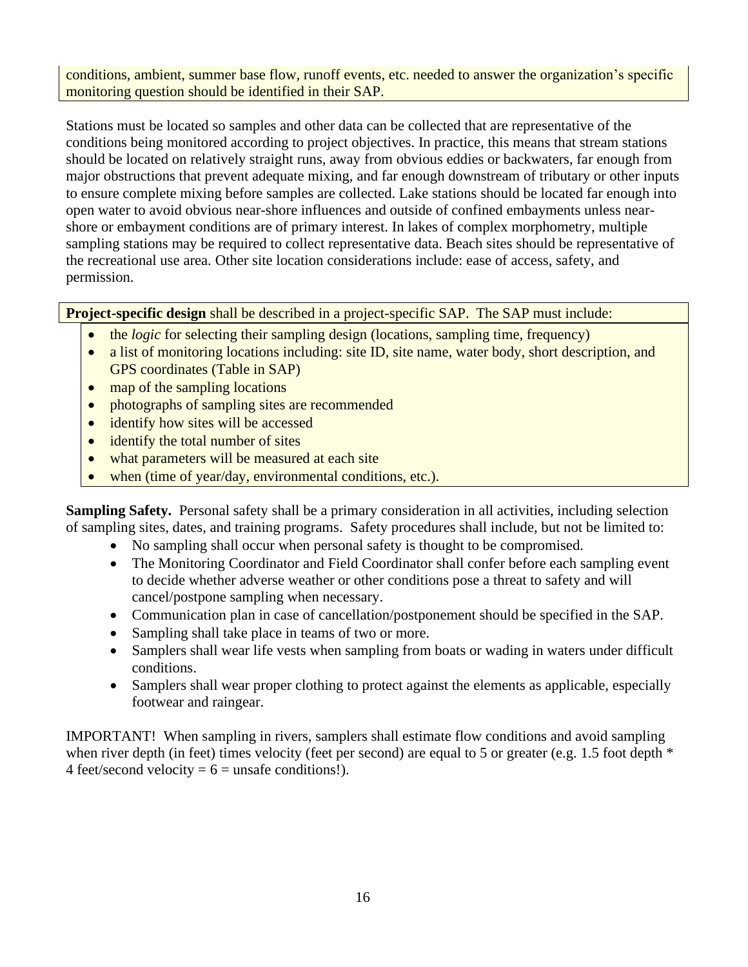conditions, ambient, summer base flow, runoff events, etc. needed to answer the organization's specific monitoring question should be identified in their SAP.

Stations must be located so samples and other data can be collected that are representative of the conditions being monitored according to project objectives. In practice, this means that stream stations should be located on relatively straight runs, away from obvious eddies or backwaters, far enough from major obstructions that prevent adequate mixing, and far enough downstream of tributary or other inputs to ensure complete mixing before samples are collected. Lake stations should be located far enough into open water to avoid obvious near-shore influences and outside of confined embayments unless nearshore or embayment conditions are of primary interest. In lakes of complex morphometry, multiple sampling stations may be required to collect representative data. Beach sites should be representative of the recreational use area. Other site location considerations include: ease of access, safety, and permission.

**Project-specific design** shall be described in a project-specific SAP. The SAP must include:

- the *logic* for selecting their sampling design (locations, sampling time, frequency)
- a list of monitoring locations including: site ID, site name, water body, short description, and GPS coordinates (Table in SAP)
- map of the sampling locations
- photographs of sampling sites are recommended
- identify how sites will be accessed
- identify the total number of sites
- what parameters will be measured at each site
- when (time of year/day, environmental conditions, etc.).

**Sampling Safety.** Personal safety shall be a primary consideration in all activities, including selection of sampling sites, dates, and training programs. Safety procedures shall include, but not be limited to:

- No sampling shall occur when personal safety is thought to be compromised.
- The Monitoring Coordinator and Field Coordinator shall confer before each sampling event to decide whether adverse weather or other conditions pose a threat to safety and will cancel/postpone sampling when necessary.
- Communication plan in case of cancellation/postponement should be specified in the SAP.
- Sampling shall take place in teams of two or more.
- Samplers shall wear life vests when sampling from boats or wading in waters under difficult conditions.
- Samplers shall wear proper clothing to protect against the elements as applicable, especially footwear and raingear.

IMPORTANT! When sampling in rivers, samplers shall estimate flow conditions and avoid sampling when river depth (in feet) times velocity (feet per second) are equal to 5 or greater (e.g. 1.5 foot depth  $*$ 4 feet/second velocity =  $6$  = unsafe conditions!).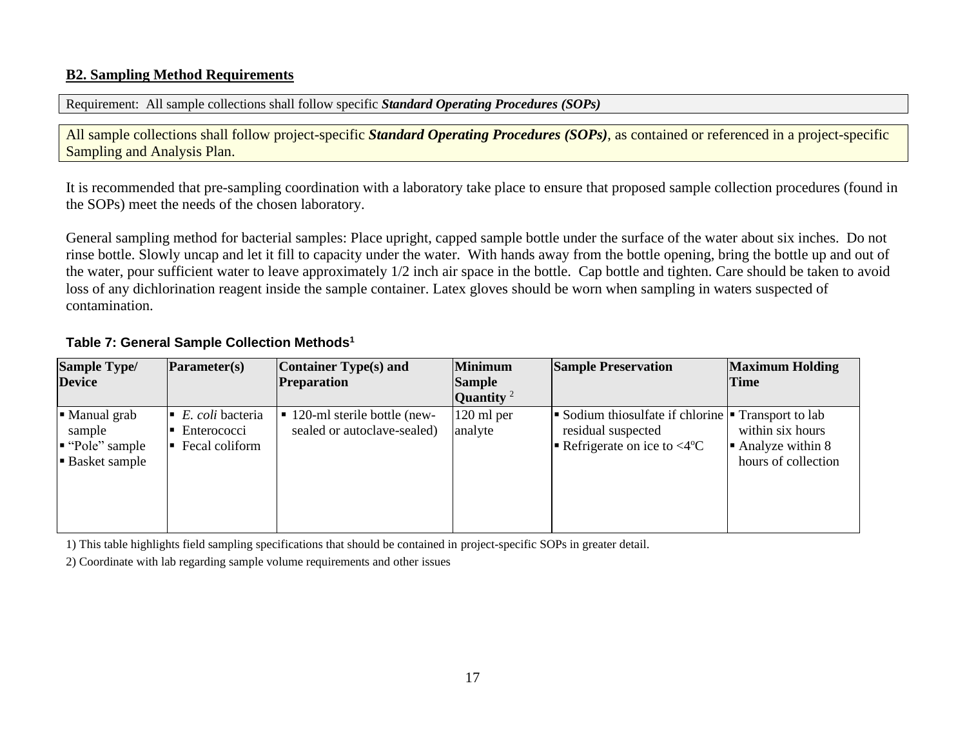#### **B2. Sampling Method Requirements**

Requirement: All sample collections shall follow specific *Standard Operating Procedures (SOPs)*

All sample collections shall follow project-specific *Standard Operating Procedures (SOPs)*, as contained or referenced in a project-specific Sampling and Analysis Plan.

It is recommended that pre-sampling coordination with a laboratory take place to ensure that proposed sample collection procedures (found in the SOPs) meet the needs of the chosen laboratory.

General sampling method for bacterial samples: Place upright, capped sample bottle under the surface of the water about six inches. Do not rinse bottle. Slowly uncap and let it fill to capacity under the water. With hands away from the bottle opening, bring the bottle up and out of the water, pour sufficient water to leave approximately 1/2 inch air space in the bottle. Cap bottle and tighten. Care should be taken to avoid loss of any dichlorination reagent inside the sample container. Latex gloves should be worn when sampling in waters suspected of contamination.

<span id="page-16-0"></span>

| <b>Parameter(s)</b>                                     | <b>Container Type(s) and</b> | Minimum                                             | <b>Sample Preservation</b>                                        | <b>Maximum Holding</b>                                                                                        |
|---------------------------------------------------------|------------------------------|-----------------------------------------------------|-------------------------------------------------------------------|---------------------------------------------------------------------------------------------------------------|
|                                                         |                              |                                                     |                                                                   | Time                                                                                                          |
|                                                         |                              |                                                     |                                                                   |                                                                                                               |
| E. coli bacteria<br>Enterococci<br>Fecal coliform<br>╻┏ | sealed or autoclave-sealed)  |                                                     | residual suspected                                                | within six hours<br>$\blacksquare$ Analyze within 8<br>hours of collection                                    |
|                                                         |                              | <b>Preparation</b><br>■ 120-ml sterile bottle (new- | <b>Sample</b><br>Quantity <sup>2</sup><br>$120$ ml per<br>analyte | Sodium thiosulfate if chlorine $\blacksquare$ Transport to lab<br>Refrigerate on ice to $\langle 4^{\circ}$ C |

1) This table highlights field sampling specifications that should be contained in project-specific SOPs in greater detail.

<span id="page-16-1"></span>2) Coordinate with lab regarding sample volume requirements and other issues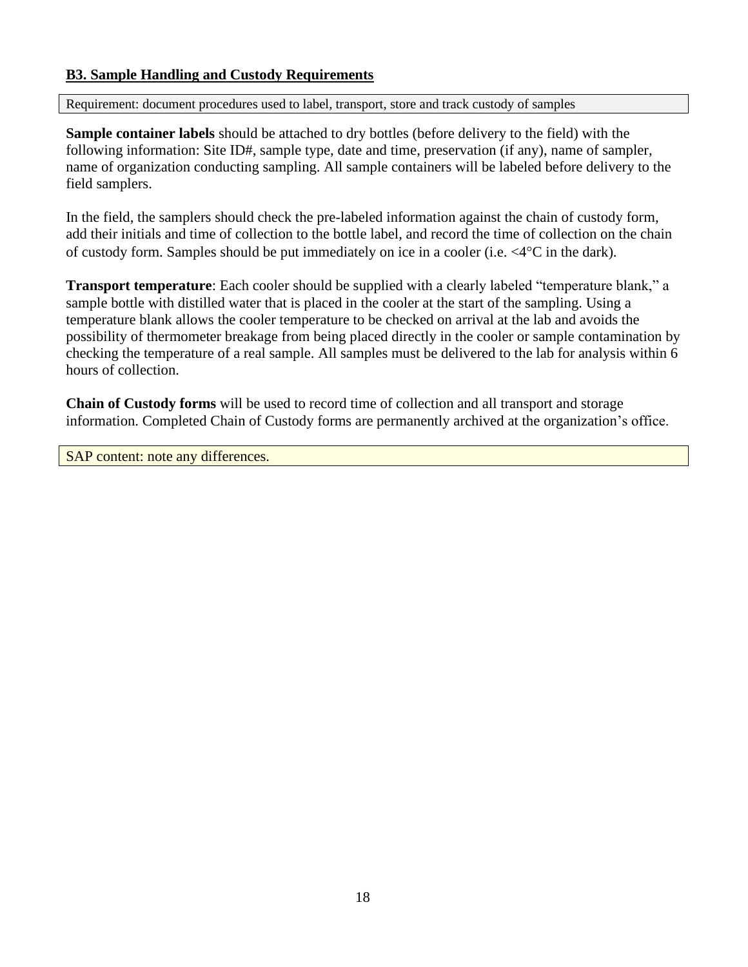#### <span id="page-17-0"></span>**B3. Sample Handling and Custody Requirements**

Requirement: document procedures used to label, transport, store and track custody of samples

**Sample container labels** should be attached to dry bottles (before delivery to the field) with the following information: Site ID#, sample type, date and time, preservation (if any), name of sampler, name of organization conducting sampling. All sample containers will be labeled before delivery to the field samplers.

In the field, the samplers should check the pre-labeled information against the chain of custody form, add their initials and time of collection to the bottle label, and record the time of collection on the chain of custody form. Samples should be put immediately on ice in a cooler (i.e.  $\langle 4^{\circ}$ C in the dark).

**Transport temperature**: Each cooler should be supplied with a clearly labeled "temperature blank," a sample bottle with distilled water that is placed in the cooler at the start of the sampling. Using a temperature blank allows the cooler temperature to be checked on arrival at the lab and avoids the possibility of thermometer breakage from being placed directly in the cooler or sample contamination by checking the temperature of a real sample. All samples must be delivered to the lab for analysis within 6 hours of collection.

**Chain of Custody forms** will be used to record time of collection and all transport and storage information. Completed Chain of Custody forms are permanently archived at the organization's office.

SAP content: note any differences.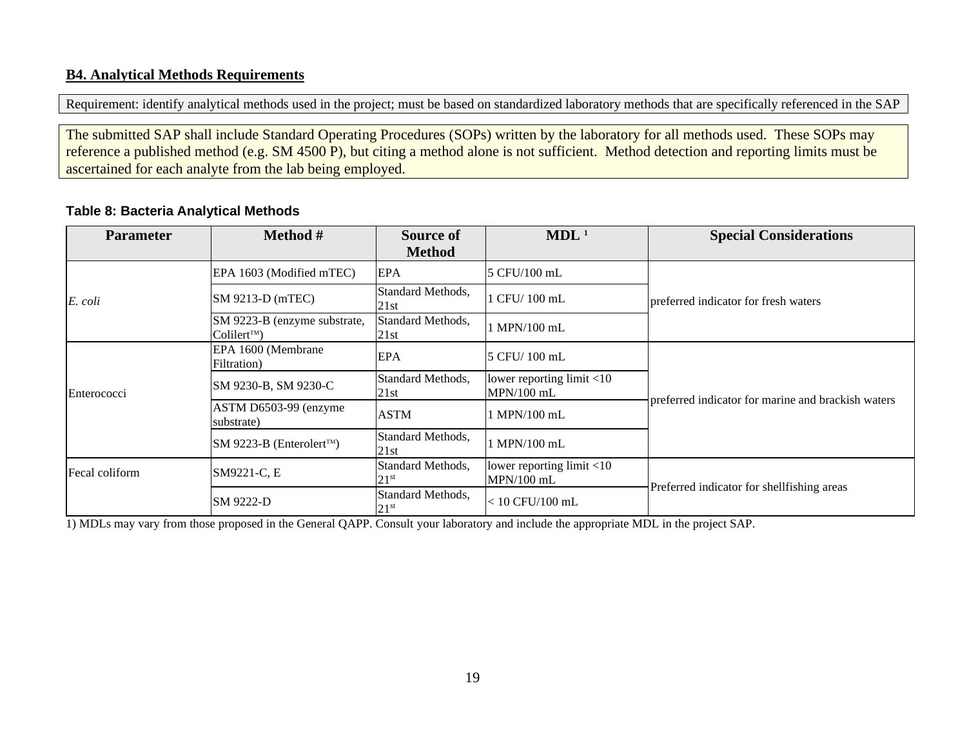#### **B4. Analytical Methods Requirements**

Requirement: identify analytical methods used in the project; must be based on standardized laboratory methods that are specifically referenced in the SAP

The submitted SAP shall include Standard Operating Procedures (SOPs) written by the laboratory for all methods used. These SOPs may reference a published method (e.g. SM 4500 P), but citing a method alone is not sufficient. Method detection and reporting limits must be ascertained for each analyte from the lab being employed.

#### **Table 8: Bacteria Analytical Methods**

<span id="page-18-0"></span>

| <b>Parameter</b> | Method #                                              | <b>Source of</b><br><b>Method</b>     | MDL <sup>1</sup>                             | <b>Special Considerations</b>                      |
|------------------|-------------------------------------------------------|---------------------------------------|----------------------------------------------|----------------------------------------------------|
|                  | EPA 1603 (Modified mTEC)                              | <b>EPA</b>                            | 5 CFU/100 mL                                 |                                                    |
| $E.$ coli        | SM 9213-D (mTEC)                                      | Standard Methods,<br>21st             | 1 CFU/100 mL                                 | preferred indicator for fresh waters               |
|                  | SM 9223-B (enzyme substrate,<br>Coliler <sup>TM</sup> | Standard Methods,<br>21st             | 1 MPN/100 mL                                 |                                                    |
| Enterococci      | EPA 1600 (Membrane<br>Filtration)                     | <b>EPA</b>                            | 5 CFU/100 mL                                 |                                                    |
|                  | SM 9230-B, SM 9230-C                                  | Standard Methods,<br>21st             | lower reporting $limit < 10$<br>$MPN/100$ mL |                                                    |
|                  | ASTM D6503-99 (enzyme<br>substrate)                   | <b>ASTM</b>                           | 1 MPN/100 mL                                 | preferred indicator for marine and brackish waters |
|                  | SM 9223-B (Enterolert™)                               | Standard Methods,<br>21st             | 1 MPN/100 mL                                 |                                                    |
| Fecal coliform   | SM9221-C, E                                           | Standard Methods,<br>$21^{st}$        | lower reporting limit $<$ 10<br>$MPN/100$ mL |                                                    |
|                  | SM 9222-D                                             | Standard Methods,<br>21 <sup>st</sup> | $< 10$ CFU/100 mL                            | Preferred indicator for shellfishing areas         |

<span id="page-18-1"></span>1) MDLs may vary from those proposed in the General QAPP. Consult your laboratory and include the appropriate MDL in the project SAP.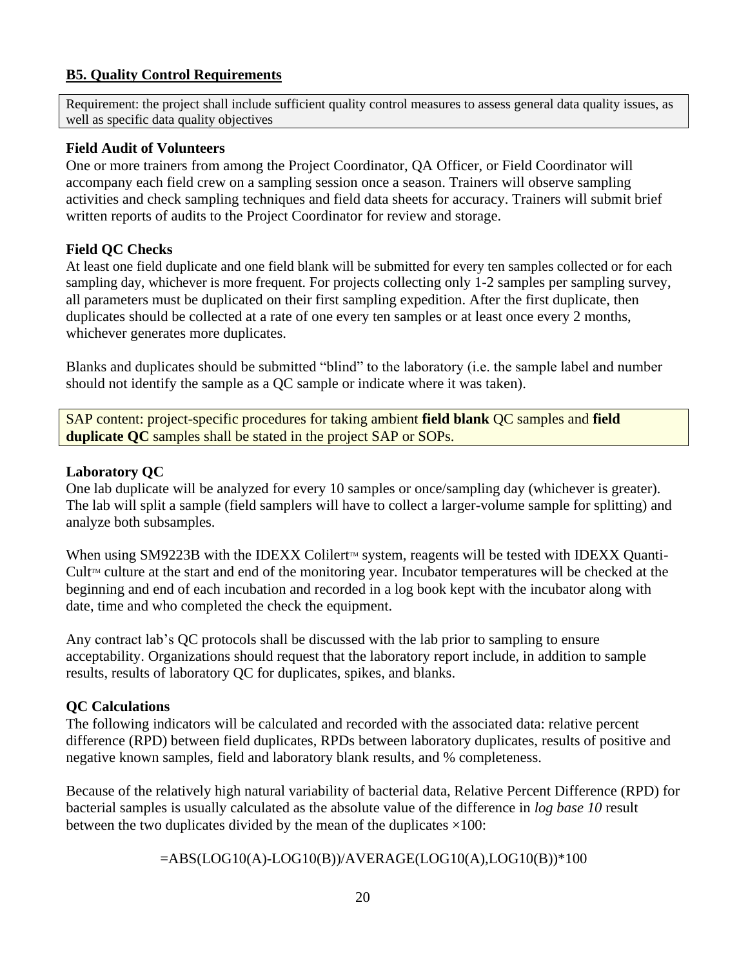#### <span id="page-19-0"></span>**B5. Quality Control Requirements**

Requirement: the project shall include sufficient quality control measures to assess general data quality issues, as well as specific data quality objectives

#### **Field Audit of Volunteers**

One or more trainers from among the Project Coordinator, QA Officer, or Field Coordinator will accompany each field crew on a sampling session once a season. Trainers will observe sampling activities and check sampling techniques and field data sheets for accuracy. Trainers will submit brief written reports of audits to the Project Coordinator for review and storage.

#### **Field QC Checks**

At least one field duplicate and one field blank will be submitted for every ten samples collected or for each sampling day, whichever is more frequent. For projects collecting only 1-2 samples per sampling survey, all parameters must be duplicated on their first sampling expedition. After the first duplicate, then duplicates should be collected at a rate of one every ten samples or at least once every 2 months, whichever generates more duplicates.

Blanks and duplicates should be submitted "blind" to the laboratory (i.e. the sample label and number should not identify the sample as a QC sample or indicate where it was taken).

SAP content: project-specific procedures for taking ambient **field blank** QC samples and **field duplicate QC** samples shall be stated in the project SAP or SOPs.

#### **Laboratory QC**

One lab duplicate will be analyzed for every 10 samples or once/sampling day (whichever is greater). The lab will split a sample (field samplers will have to collect a larger-volume sample for splitting) and analyze both subsamples.

When using SM9223B with the IDEXX Colilert<sup> $M$ </sup> system, reagents will be tested with IDEXX Quanti-Cult<sup> $M$ </sup> culture at the start and end of the monitoring year. Incubator temperatures will be checked at the beginning and end of each incubation and recorded in a log book kept with the incubator along with date, time and who completed the check the equipment.

Any contract lab's QC protocols shall be discussed with the lab prior to sampling to ensure acceptability. Organizations should request that the laboratory report include, in addition to sample results, results of laboratory QC for duplicates, spikes, and blanks.

## **QC Calculations**

The following indicators will be calculated and recorded with the associated data: relative percent difference (RPD) between field duplicates, RPDs between laboratory duplicates, results of positive and negative known samples, field and laboratory blank results, and % completeness.

Because of the relatively high natural variability of bacterial data, Relative Percent Difference (RPD) for bacterial samples is usually calculated as the absolute value of the difference in *log base 10* result between the two duplicates divided by the mean of the duplicates  $\times 100$ :

=ABS(LOG10(A)-LOG10(B))/AVERAGE(LOG10(A),LOG10(B))\*100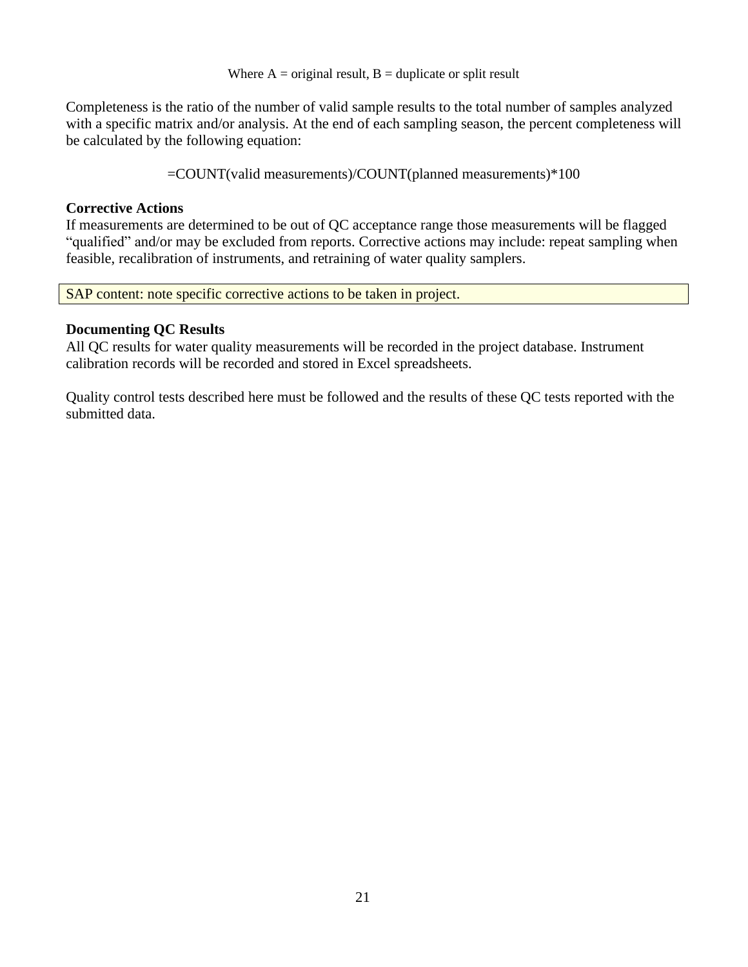Where  $A = original result$ ,  $B = duplicate or split result$ 

Completeness is the ratio of the number of valid sample results to the total number of samples analyzed with a specific matrix and/or analysis. At the end of each sampling season, the percent completeness will be calculated by the following equation:

=COUNT(valid measurements)/COUNT(planned measurements)\*100

## **Corrective Actions**

If measurements are determined to be out of QC acceptance range those measurements will be flagged "qualified" and/or may be excluded from reports. Corrective actions may include: repeat sampling when feasible, recalibration of instruments, and retraining of water quality samplers.

SAP content: note specific corrective actions to be taken in project.

#### **Documenting QC Results**

All QC results for water quality measurements will be recorded in the project database. Instrument calibration records will be recorded and stored in Excel spreadsheets.

Quality control tests described here must be followed and the results of these QC tests reported with the submitted data.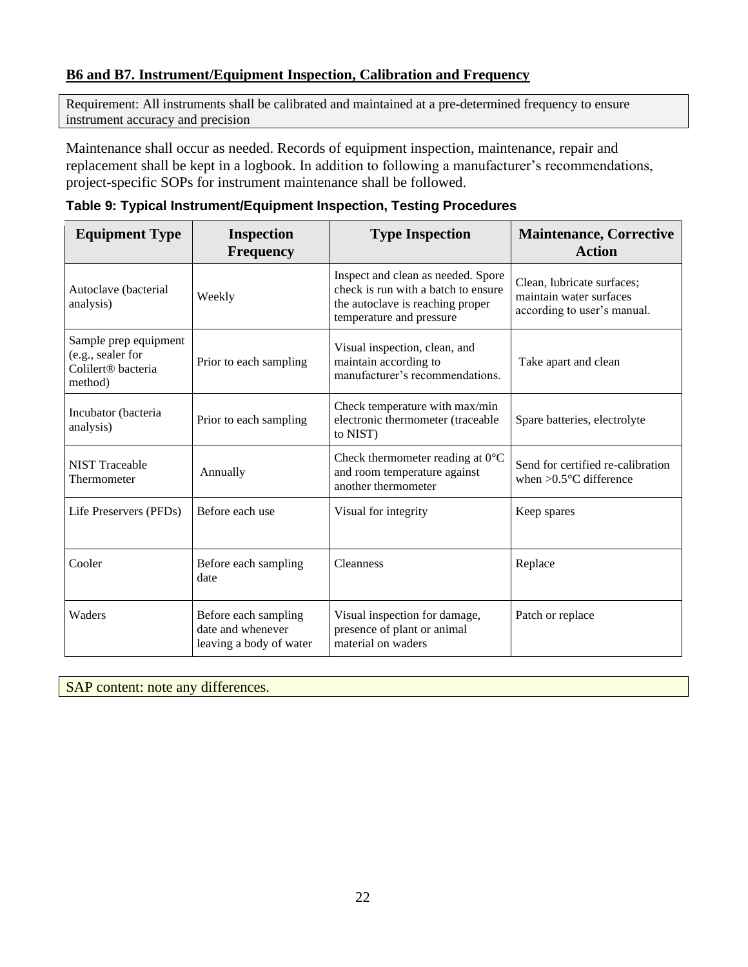## <span id="page-21-0"></span>**B6 and B7. Instrument/Equipment Inspection, Calibration and Frequency**

Requirement: All instruments shall be calibrated and maintained at a pre-determined frequency to ensure instrument accuracy and precision

Maintenance shall occur as needed. Records of equipment inspection, maintenance, repair and replacement shall be kept in a logbook. In addition to following a manufacturer's recommendations, project-specific SOPs for instrument maintenance shall be followed.

| <b>Equipment Type</b>                                                                   | <b>Inspection</b><br><b>Frequency</b>                                | <b>Type Inspection</b>                                                                                                                    | <b>Maintenance, Corrective</b><br><b>Action</b>                                      |
|-----------------------------------------------------------------------------------------|----------------------------------------------------------------------|-------------------------------------------------------------------------------------------------------------------------------------------|--------------------------------------------------------------------------------------|
| Autoclave (bacterial<br>analysis)                                                       | Weekly                                                               | Inspect and clean as needed. Spore<br>check is run with a batch to ensure<br>the autoclave is reaching proper<br>temperature and pressure | Clean, lubricate surfaces;<br>maintain water surfaces<br>according to user's manual. |
| Sample prep equipment<br>(e.g., sealer for<br>Colilert <sup>®</sup> bacteria<br>method) | Prior to each sampling                                               | Visual inspection, clean, and<br>maintain according to<br>manufacturer's recommendations.                                                 | Take apart and clean                                                                 |
| Incubator (bacteria<br>analysis)                                                        | Prior to each sampling                                               | Check temperature with max/min<br>electronic thermometer (traceable<br>to NIST)                                                           | Spare batteries, electrolyte                                                         |
| <b>NIST Traceable</b><br>Thermometer                                                    | Annually                                                             | Check thermometer reading at $0^{\circ}$ C<br>and room temperature against<br>another thermometer                                         | Send for certified re-calibration<br>when $>0.5$ °C difference                       |
| Life Preservers (PFDs)                                                                  | Before each use                                                      | Visual for integrity                                                                                                                      | Keep spares                                                                          |
| Cooler                                                                                  | Before each sampling<br>date                                         | <b>Cleanness</b>                                                                                                                          | Replace                                                                              |
| Waders                                                                                  | Before each sampling<br>date and whenever<br>leaving a body of water | Visual inspection for damage,<br>presence of plant or animal<br>material on waders                                                        | Patch or replace                                                                     |

<span id="page-21-1"></span>

|  |  | Table 9: Typical Instrument/Equipment Inspection, Testing Procedures |  |  |  |  |
|--|--|----------------------------------------------------------------------|--|--|--|--|
|--|--|----------------------------------------------------------------------|--|--|--|--|

SAP content: note any differences.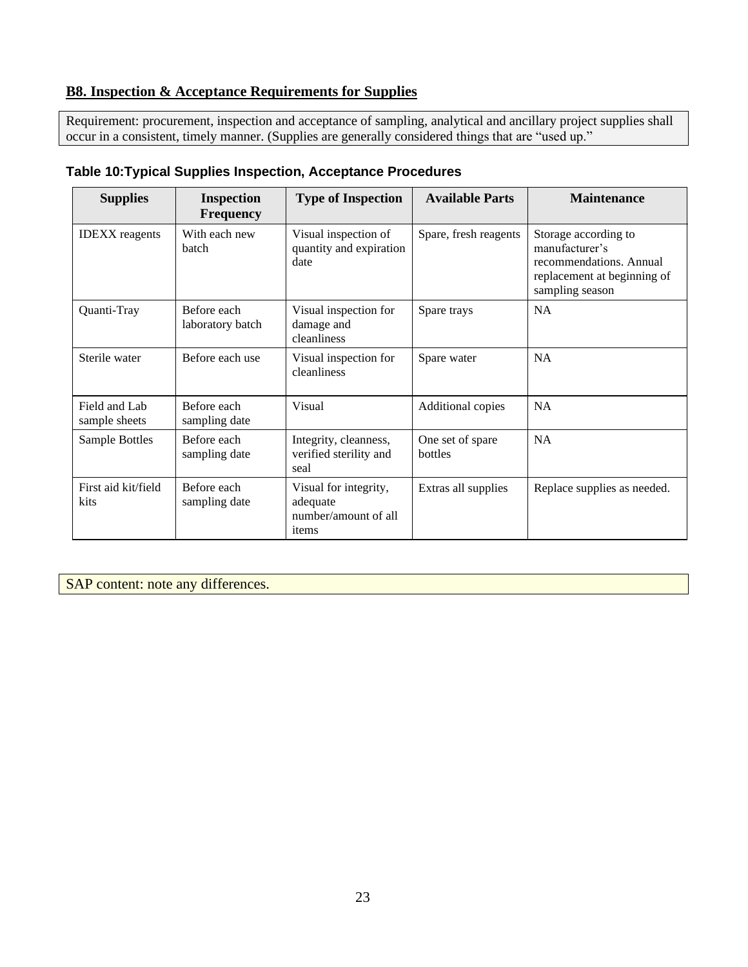# <span id="page-22-0"></span>**B8. Inspection & Acceptance Requirements for Supplies**

Requirement: procurement, inspection and acceptance of sampling, analytical and ancillary project supplies shall occur in a consistent, timely manner. (Supplies are generally considered things that are "used up."

| <b>Supplies</b>                | <b>Inspection</b><br><b>Frequency</b> | <b>Type of Inspection</b>                                          | <b>Available Parts</b>      | <b>Maintenance</b>                                                                                                  |
|--------------------------------|---------------------------------------|--------------------------------------------------------------------|-----------------------------|---------------------------------------------------------------------------------------------------------------------|
| <b>IDEXX</b> reagents          | With each new<br>batch                | Visual inspection of<br>quantity and expiration<br>date            | Spare, fresh reagents       | Storage according to<br>manufacturer's<br>recommendations. Annual<br>replacement at beginning of<br>sampling season |
| Quanti-Tray                    | Before each<br>laboratory batch       | Visual inspection for<br>damage and<br>cleanliness                 | Spare trays                 | NA                                                                                                                  |
| Sterile water                  | Before each use                       | Visual inspection for<br>cleanliness                               | Spare water                 | <b>NA</b>                                                                                                           |
| Field and Lab<br>sample sheets | Before each<br>sampling date          | Visual                                                             | Additional copies           | <b>NA</b>                                                                                                           |
| Sample Bottles                 | Before each<br>sampling date          | Integrity, cleanness,<br>verified sterility and<br>seal            | One set of spare<br>bottles | <b>NA</b>                                                                                                           |
| First aid kit/field<br>kits    | Before each<br>sampling date          | Visual for integrity,<br>adequate<br>number/amount of all<br>items | Extras all supplies         | Replace supplies as needed.                                                                                         |

#### <span id="page-22-1"></span>**Table 10:Typical Supplies Inspection, Acceptance Procedures**

SAP content: note any differences.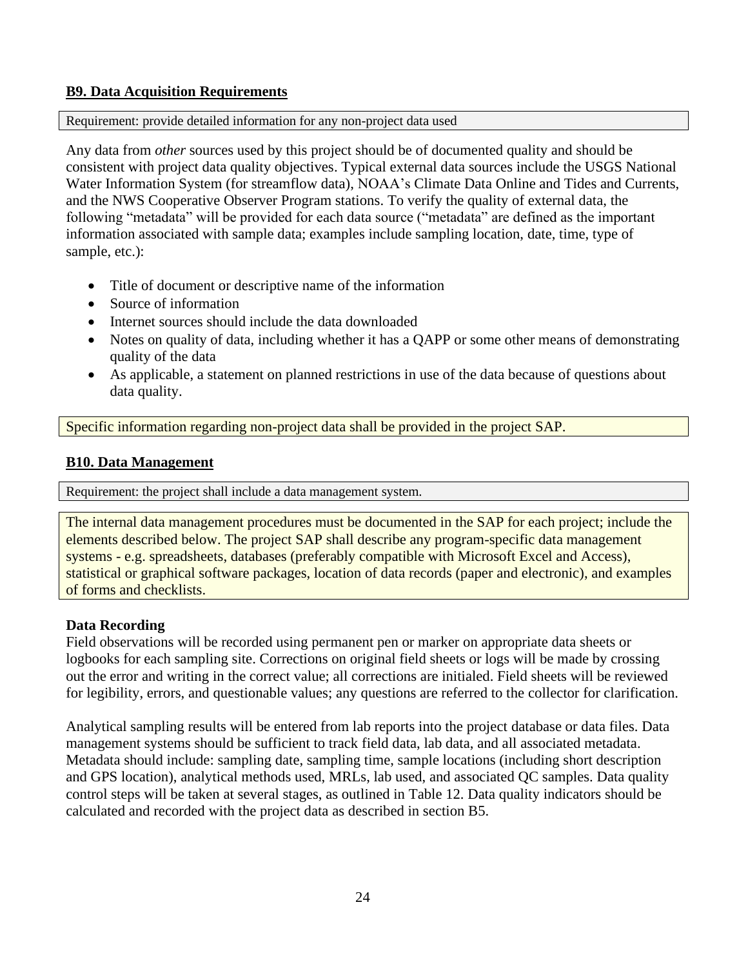#### <span id="page-23-0"></span>**B9. Data Acquisition Requirements**

#### Requirement: provide detailed information for any non-project data used

Any data from *other* sources used by this project should be of documented quality and should be consistent with project data quality objectives. Typical external data sources include the USGS National Water Information System (for streamflow data), NOAA's Climate Data Online and Tides and Currents, and the NWS Cooperative Observer Program stations. To verify the quality of external data, the following "metadata" will be provided for each data source ("metadata" are defined as the important information associated with sample data; examples include sampling location, date, time, type of sample, etc.):

- Title of document or descriptive name of the information
- Source of information
- Internet sources should include the data downloaded
- Notes on quality of data, including whether it has a QAPP or some other means of demonstrating quality of the data
- As applicable, a statement on planned restrictions in use of the data because of questions about data quality.

Specific information regarding non-project data shall be provided in the project SAP.

#### <span id="page-23-1"></span>**B10. Data Management**

Requirement: the project shall include a data management system.

The internal data management procedures must be documented in the SAP for each project; include the elements described below. The project SAP shall describe any program-specific data management systems - e.g. spreadsheets, databases (preferably compatible with Microsoft Excel and Access), statistical or graphical software packages, location of data records (paper and electronic), and examples of forms and checklists.

#### **Data Recording**

Field observations will be recorded using permanent pen or marker on appropriate data sheets or logbooks for each sampling site. Corrections on original field sheets or logs will be made by crossing out the error and writing in the correct value; all corrections are initialed. Field sheets will be reviewed for legibility, errors, and questionable values; any questions are referred to the collector for clarification.

Analytical sampling results will be entered from lab reports into the project database or data files. Data management systems should be sufficient to track field data, lab data, and all associated metadata. Metadata should include: sampling date, sampling time, sample locations (including short description and GPS location), analytical methods used, MRLs, lab used, and associated QC samples. Data quality control steps will be taken at several stages, as outlined in [Table 12.](#page-24-4) Data quality indicators should be calculated and recorded with the project data as described in section B5.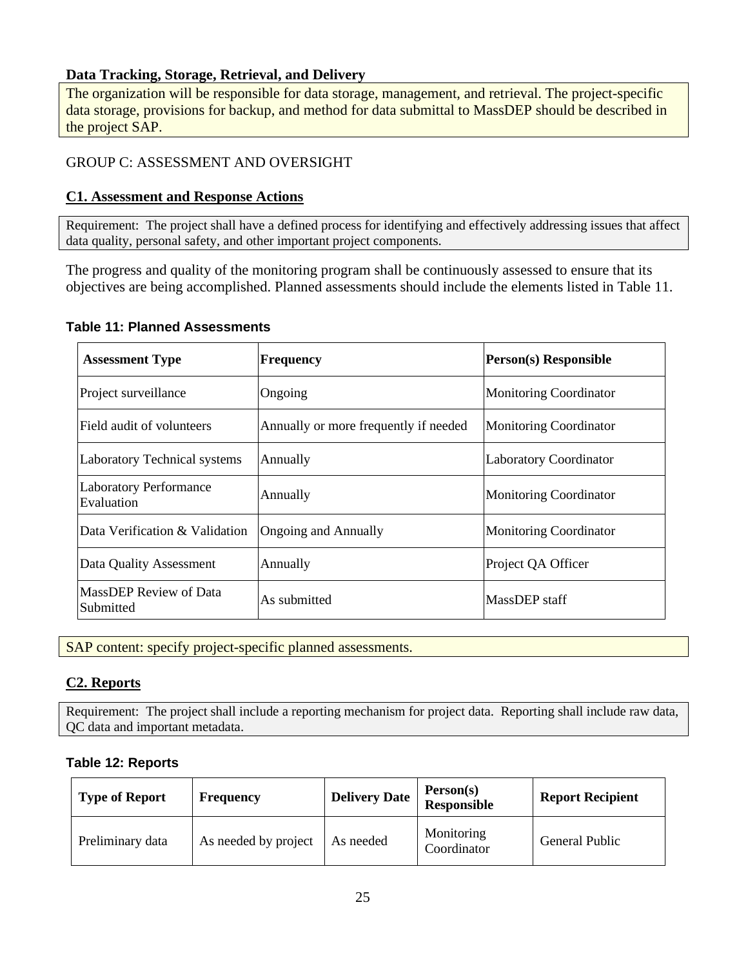#### **Data Tracking, Storage, Retrieval, and Delivery**

The organization will be responsible for data storage, management, and retrieval. The project-specific data storage, provisions for backup, and method for data submittal to MassDEP should be described in the project SAP.

## <span id="page-24-0"></span>GROUP C: ASSESSMENT AND OVERSIGHT

#### <span id="page-24-1"></span>**C1. Assessment and Response Actions**

Requirement: The project shall have a defined process for identifying and effectively addressing issues that affect data quality, personal safety, and other important project components.

The progress and quality of the monitoring program shall be continuously assessed to ensure that its objectives are being accomplished. Planned assessments should include the elements listed in [Table 11.](#page-24-3)

#### <span id="page-24-3"></span>**Table 11: Planned Assessments**

| <b>Assessment Type</b>                      | <b>Frequency</b>                      | <b>Person(s)</b> Responsible  |
|---------------------------------------------|---------------------------------------|-------------------------------|
| Project surveillance                        | Ongoing                               | <b>Monitoring Coordinator</b> |
| Field audit of volunteers                   | Annually or more frequently if needed | <b>Monitoring Coordinator</b> |
| <b>Laboratory Technical systems</b>         | Annually                              | <b>Laboratory Coordinator</b> |
| <b>Laboratory Performance</b><br>Evaluation | Annually                              | <b>Monitoring Coordinator</b> |
| Data Verification & Validation              | <b>Ongoing and Annually</b>           | <b>Monitoring Coordinator</b> |
| Data Quality Assessment                     | Annually                              | Project QA Officer            |
| MassDEP Review of Data<br>Submitted         | As submitted                          | MassDEP staff                 |

SAP content: specify project-specific planned assessments.

## <span id="page-24-2"></span>**C2. Reports**

Requirement: The project shall include a reporting mechanism for project data. Reporting shall include raw data, QC data and important metadata.

#### <span id="page-24-4"></span>**Table 12: Reports**

| <b>Type of Report</b> | <b>Frequency</b>     | <b>Delivery Date</b> | Person(s)<br>Responsible  | <b>Report Recipient</b> |
|-----------------------|----------------------|----------------------|---------------------------|-------------------------|
| Preliminary data      | As needed by project | As needed            | Monitoring<br>Coordinator | General Public          |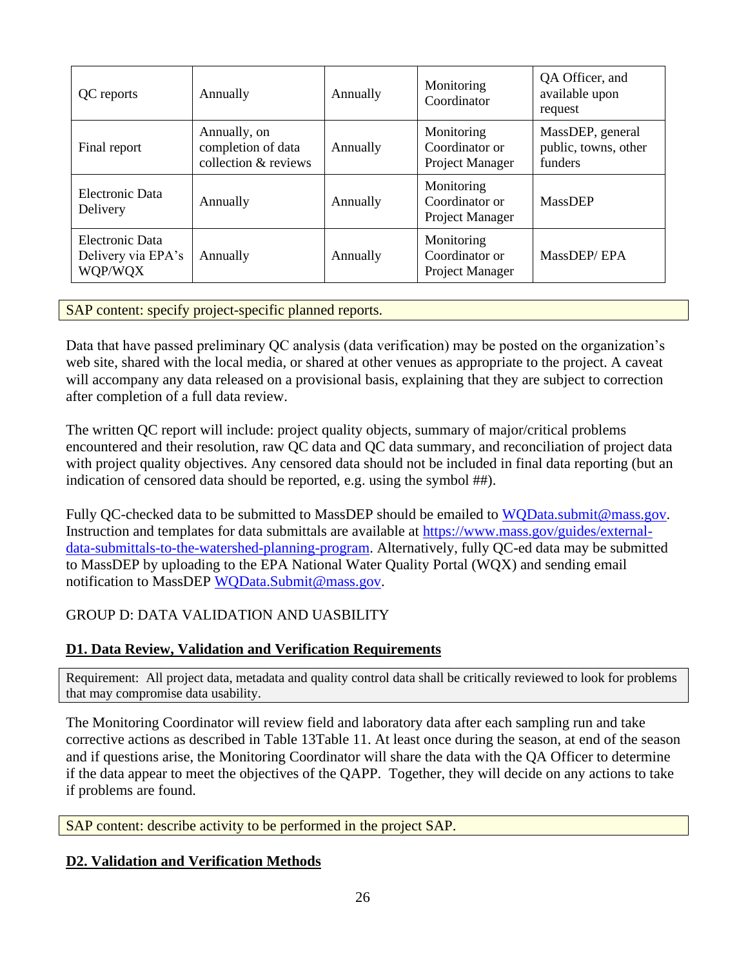| QC reports                                       | Annually                                                   | Annually | Monitoring<br>Coordinator                       | QA Officer, and<br>available upon<br>request        |
|--------------------------------------------------|------------------------------------------------------------|----------|-------------------------------------------------|-----------------------------------------------------|
| Final report                                     | Annually, on<br>completion of data<br>collection & reviews | Annually | Monitoring<br>Coordinator or<br>Project Manager | MassDEP, general<br>public, towns, other<br>funders |
| Electronic Data<br>Delivery                      | Annually                                                   | Annually | Monitoring<br>Coordinator or<br>Project Manager | <b>MassDEP</b>                                      |
| Electronic Data<br>Delivery via EPA's<br>WQP/WQX | Annually                                                   | Annually | Monitoring<br>Coordinator or<br>Project Manager | MassDEP/EPA                                         |

SAP content: specify project-specific planned reports.

Data that have passed preliminary QC analysis (data verification) may be posted on the organization's web site, shared with the local media, or shared at other venues as appropriate to the project. A caveat will accompany any data released on a provisional basis, explaining that they are subject to correction after completion of a full data review.

The written QC report will include: project quality objects, summary of major/critical problems encountered and their resolution, raw QC data and QC data summary, and reconciliation of project data with project quality objectives. Any censored data should not be included in final data reporting (but an indication of censored data should be reported, e.g. using the symbol ##).

Fully QC-checked data to be submitted to MassDEP should be emailed to [WQData.submit@mass.gov.](mailto:WQData.submit@mass.gov) Instruction and templates for data submittals are available at [https://www.mass.gov/guides/external](https://www.mass.gov/guides/external-data-submittals-to-the-watershed-planning-program)[data-submittals-to-the-watershed-planning-program.](https://www.mass.gov/guides/external-data-submittals-to-the-watershed-planning-program) Alternatively, fully QC-ed data may be submitted to MassDEP by uploading to the EPA National Water Quality Portal (WQX) and sending email notification to MassDEP WOData.Submit@mass.gov.

# <span id="page-25-0"></span>GROUP D: DATA VALIDATION AND UASBILITY

# <span id="page-25-1"></span>**D1. Data Review, Validation and Verification Requirements**

Requirement: All project data, metadata and quality control data shall be critically reviewed to look for problems that may compromise data usability.

The Monitoring Coordinator will review field and laboratory data after each sampling run and take corrective actions as described in [Table 13](#page-27-0)[Table 11.](#page-24-3) At least once during the season, at end of the season and if questions arise, the Monitoring Coordinator will share the data with the QA Officer to determine if the data appear to meet the objectives of the QAPP. Together, they will decide on any actions to take if problems are found.

SAP content: describe activity to be performed in the project SAP.

## <span id="page-25-2"></span>**D2. Validation and Verification Methods**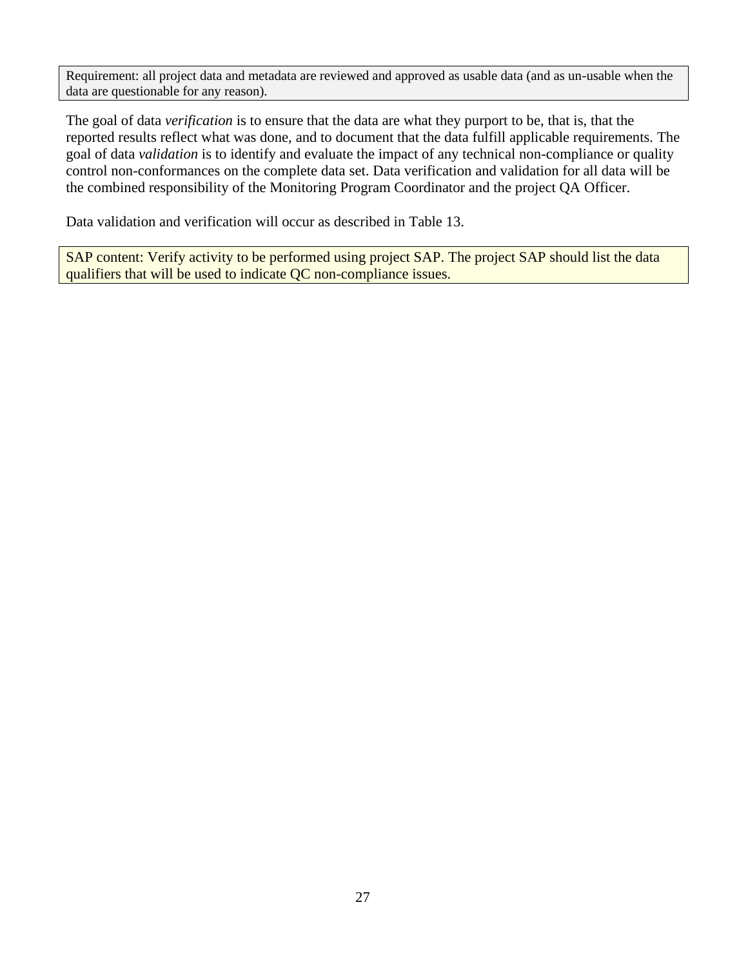Requirement: all project data and metadata are reviewed and approved as usable data (and as un-usable when the data are questionable for any reason).

The goal of data *verification* is to ensure that the data are what they purport to be, that is, that the reported results reflect what was done, and to document that the data fulfill applicable requirements. The goal of data *validation* is to identify and evaluate the impact of any technical non-compliance or quality control non-conformances on the complete data set. Data verification and validation for all data will be the combined responsibility of the Monitoring Program Coordinator and the project QA Officer.

Data validation and verification will occur as described in [Table 13.](#page-27-0)

SAP content: Verify activity to be performed using project SAP. The project SAP should list the data qualifiers that will be used to indicate QC non-compliance issues.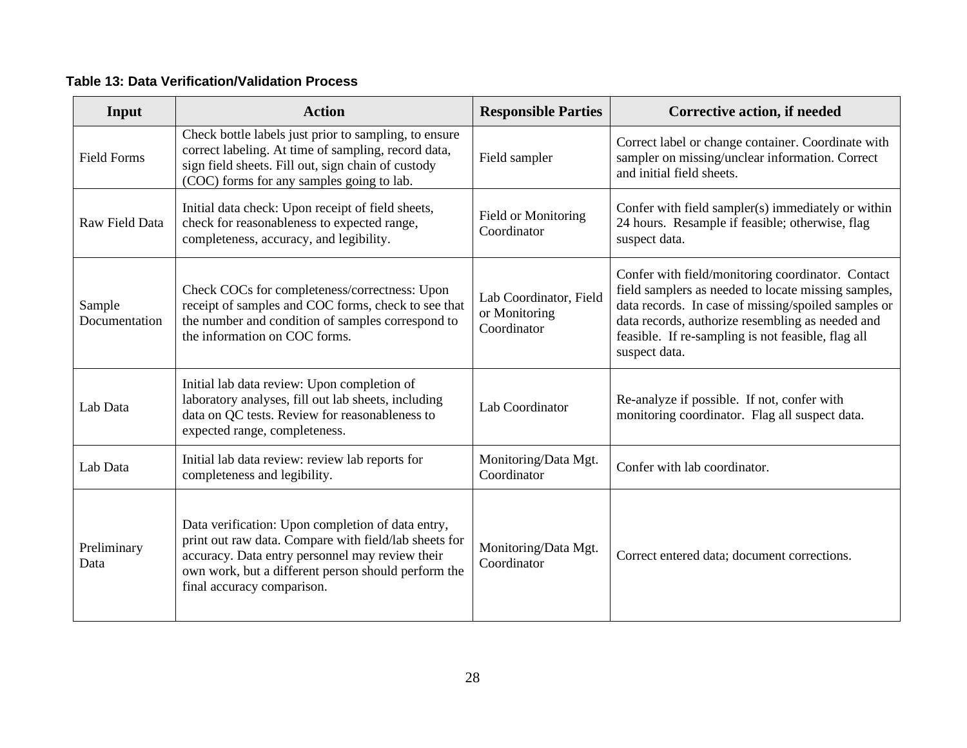# **Table 13: Data Verification/Validation Process**

<span id="page-27-0"></span>

| Input                   | <b>Action</b>                                                                                                                                                                                                                                      | <b>Responsible Parties</b>                             | <b>Corrective action, if needed</b>                                                                                                                                                                                                                                                        |
|-------------------------|----------------------------------------------------------------------------------------------------------------------------------------------------------------------------------------------------------------------------------------------------|--------------------------------------------------------|--------------------------------------------------------------------------------------------------------------------------------------------------------------------------------------------------------------------------------------------------------------------------------------------|
| <b>Field Forms</b>      | Check bottle labels just prior to sampling, to ensure<br>correct labeling. At time of sampling, record data,<br>sign field sheets. Fill out, sign chain of custody<br>(COC) forms for any samples going to lab.                                    | Field sampler                                          | Correct label or change container. Coordinate with<br>sampler on missing/unclear information. Correct<br>and initial field sheets.                                                                                                                                                         |
| Raw Field Data          | Initial data check: Upon receipt of field sheets,<br>check for reasonableness to expected range,<br>completeness, accuracy, and legibility.                                                                                                        | Field or Monitoring<br>Coordinator                     | Confer with field sampler(s) immediately or within<br>24 hours. Resample if feasible; otherwise, flag<br>suspect data.                                                                                                                                                                     |
| Sample<br>Documentation | Check COCs for completeness/correctness: Upon<br>receipt of samples and COC forms, check to see that<br>the number and condition of samples correspond to<br>the information on COC forms.                                                         | Lab Coordinator, Field<br>or Monitoring<br>Coordinator | Confer with field/monitoring coordinator. Contact<br>field samplers as needed to locate missing samples,<br>data records. In case of missing/spoiled samples or<br>data records, authorize resembling as needed and<br>feasible. If re-sampling is not feasible, flag all<br>suspect data. |
| Lab Data                | Initial lab data review: Upon completion of<br>laboratory analyses, fill out lab sheets, including<br>data on QC tests. Review for reasonableness to<br>expected range, completeness.                                                              | Lab Coordinator                                        | Re-analyze if possible. If not, confer with<br>monitoring coordinator. Flag all suspect data.                                                                                                                                                                                              |
| Lab Data                | Initial lab data review: review lab reports for<br>completeness and legibility.                                                                                                                                                                    | Monitoring/Data Mgt.<br>Coordinator                    | Confer with lab coordinator.                                                                                                                                                                                                                                                               |
| Preliminary<br>Data     | Data verification: Upon completion of data entry,<br>print out raw data. Compare with field/lab sheets for<br>accuracy. Data entry personnel may review their<br>own work, but a different person should perform the<br>final accuracy comparison. | Monitoring/Data Mgt.<br>Coordinator                    | Correct entered data; document corrections.                                                                                                                                                                                                                                                |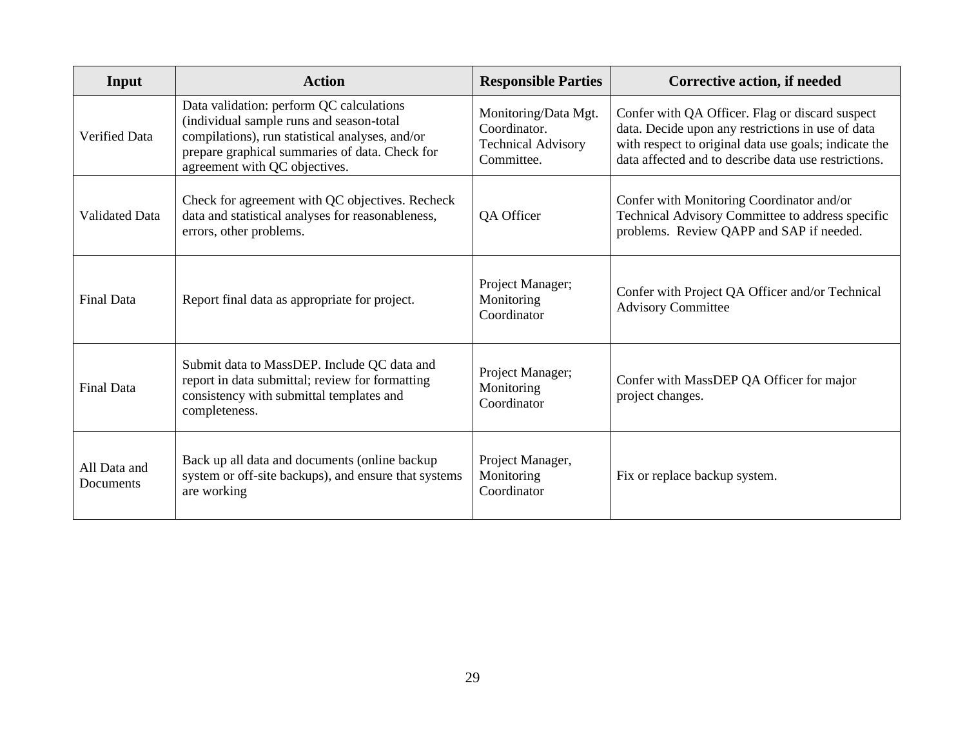| Input                     | <b>Action</b>                                                                                                                                                                                                              | <b>Responsible Parties</b>                                                      | Corrective action, if needed                                                                                                                                                                                          |
|---------------------------|----------------------------------------------------------------------------------------------------------------------------------------------------------------------------------------------------------------------------|---------------------------------------------------------------------------------|-----------------------------------------------------------------------------------------------------------------------------------------------------------------------------------------------------------------------|
| <b>Verified Data</b>      | Data validation: perform QC calculations<br>(individual sample runs and season-total<br>compilations), run statistical analyses, and/or<br>prepare graphical summaries of data. Check for<br>agreement with QC objectives. | Monitoring/Data Mgt.<br>Coordinator.<br><b>Technical Advisory</b><br>Committee. | Confer with QA Officer. Flag or discard suspect<br>data. Decide upon any restrictions in use of data<br>with respect to original data use goals; indicate the<br>data affected and to describe data use restrictions. |
| <b>Validated Data</b>     | Check for agreement with QC objectives. Recheck<br>data and statistical analyses for reasonableness,<br>errors, other problems.                                                                                            | QA Officer                                                                      | Confer with Monitoring Coordinator and/or<br>Technical Advisory Committee to address specific<br>problems. Review QAPP and SAP if needed.                                                                             |
| <b>Final Data</b>         | Report final data as appropriate for project.                                                                                                                                                                              | Project Manager;<br>Monitoring<br>Coordinator                                   | Confer with Project QA Officer and/or Technical<br><b>Advisory Committee</b>                                                                                                                                          |
| <b>Final Data</b>         | Submit data to MassDEP. Include QC data and<br>report in data submittal; review for formatting<br>consistency with submittal templates and<br>completeness.                                                                | Project Manager;<br>Monitoring<br>Coordinator                                   | Confer with MassDEP QA Officer for major<br>project changes.                                                                                                                                                          |
| All Data and<br>Documents | Back up all data and documents (online backup<br>system or off-site backups), and ensure that systems<br>are working                                                                                                       | Project Manager,<br>Monitoring<br>Coordinator                                   | Fix or replace backup system.                                                                                                                                                                                         |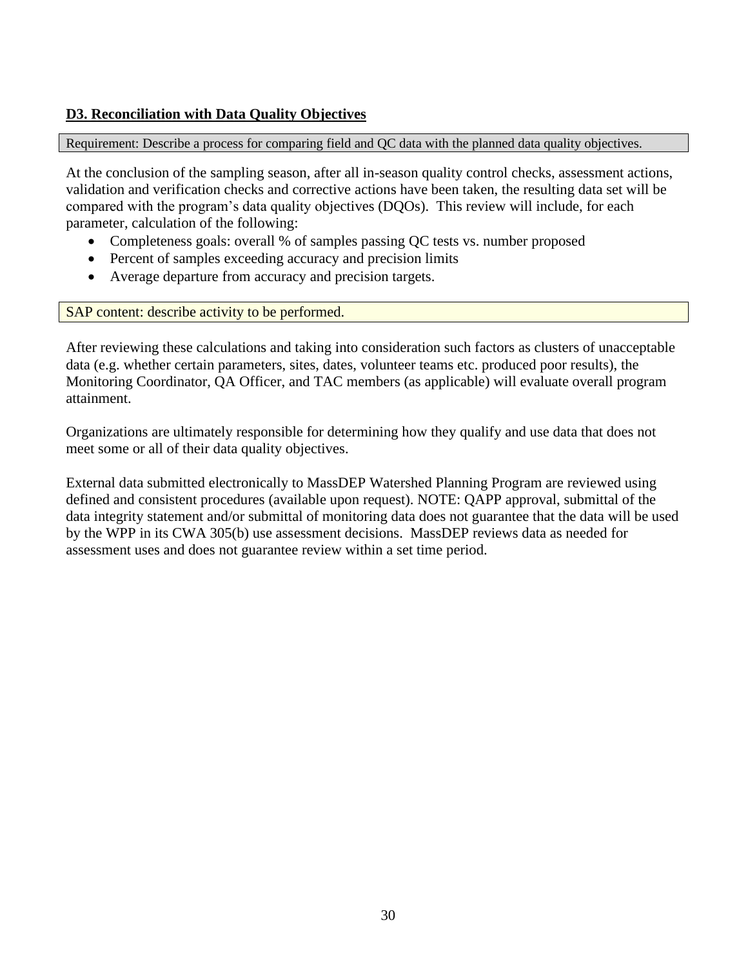## <span id="page-29-0"></span>**D3. Reconciliation with Data Quality Objectives**

Requirement: Describe a process for comparing field and QC data with the planned data quality objectives.

At the conclusion of the sampling season, after all in-season quality control checks, assessment actions, validation and verification checks and corrective actions have been taken, the resulting data set will be compared with the program's data quality objectives (DQOs). This review will include, for each parameter, calculation of the following:

- Completeness goals: overall % of samples passing QC tests vs. number proposed
- Percent of samples exceeding accuracy and precision limits
- Average departure from accuracy and precision targets.

SAP content: describe activity to be performed.

After reviewing these calculations and taking into consideration such factors as clusters of unacceptable data (e.g. whether certain parameters, sites, dates, volunteer teams etc. produced poor results), the Monitoring Coordinator, QA Officer, and TAC members (as applicable) will evaluate overall program attainment.

Organizations are ultimately responsible for determining how they qualify and use data that does not meet some or all of their data quality objectives.

External data submitted electronically to MassDEP Watershed Planning Program are reviewed using defined and consistent procedures (available upon request). NOTE: QAPP approval, submittal of the data integrity statement and/or submittal of monitoring data does not guarantee that the data will be used by the WPP in its CWA 305(b) use assessment decisions. MassDEP reviews data as needed for assessment uses and does not guarantee review within a set time period.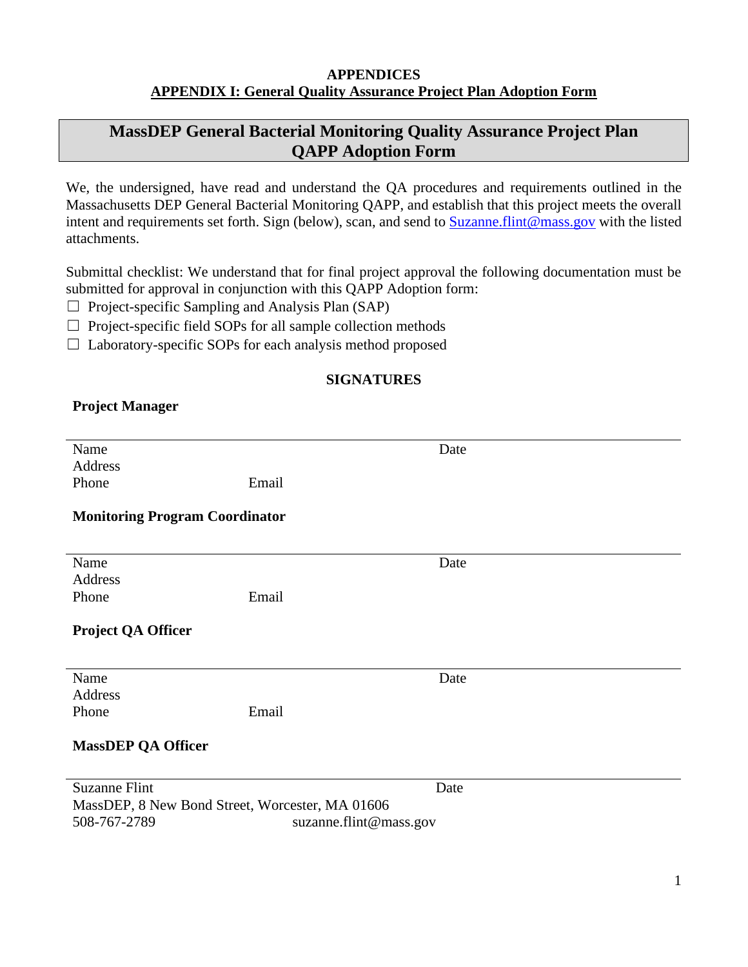#### **APPENDICES APPENDIX I: General Quality Assurance Project Plan Adoption Form**

# <span id="page-30-1"></span><span id="page-30-0"></span>**MassDEP General Bacterial Monitoring Quality Assurance Project Plan QAPP Adoption Form**

We, the undersigned, have read and understand the QA procedures and requirements outlined in the Massachusetts DEP General Bacterial Monitoring QAPP, and establish that this project meets the overall intent and requirements set forth. Sign (below), scan, and send to [Suzanne.flint@mass.gov](mailto:Suzanne.flint@mass.gov) with the listed attachments.

Submittal checklist: We understand that for final project approval the following documentation must be submitted for approval in conjunction with this QAPP Adoption form:

- $\Box$  Project-specific Sampling and Analysis Plan (SAP)
- $\Box$  Project-specific field SOPs for all sample collection methods
- $\Box$  Laboratory-specific SOPs for each analysis method proposed

## **SIGNATURES**

## **Project Manager**

| Name                                            |                        | Date |
|-------------------------------------------------|------------------------|------|
| Address                                         |                        |      |
|                                                 |                        |      |
| Phone                                           | Email                  |      |
|                                                 |                        |      |
| <b>Monitoring Program Coordinator</b>           |                        |      |
|                                                 |                        |      |
|                                                 |                        |      |
| Name                                            |                        | Date |
| Address                                         |                        |      |
| Phone                                           | Email                  |      |
|                                                 |                        |      |
|                                                 |                        |      |
| Project QA Officer                              |                        |      |
|                                                 |                        |      |
|                                                 |                        |      |
| Name                                            |                        | Date |
| Address                                         |                        |      |
| Phone                                           | Email                  |      |
|                                                 |                        |      |
|                                                 |                        |      |
| <b>MassDEP QA Officer</b>                       |                        |      |
|                                                 |                        |      |
| <b>Suzanne Flint</b>                            |                        | Date |
| MassDEP, 8 New Bond Street, Worcester, MA 01606 |                        |      |
|                                                 |                        |      |
| 508-767-2789                                    | suzanne.flint@mass.gov |      |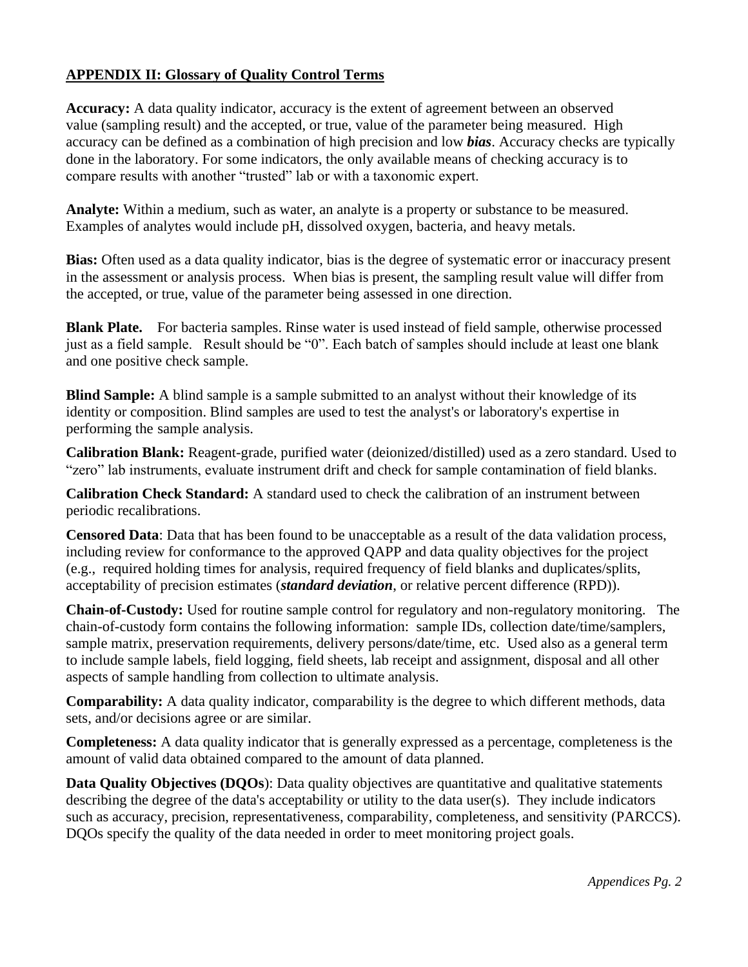## <span id="page-31-0"></span>**APPENDIX II: Glossary of Quality Control Terms**

**Accuracy:** A data quality indicator, accuracy is the extent of agreement between an observed value (sampling result) and the accepted, or true, value of the parameter being measured. High accuracy can be defined as a combination of high precision and low *bias*. Accuracy checks are typically done in the laboratory. For some indicators, the only available means of checking accuracy is to compare results with another "trusted" lab or with a taxonomic expert.

**Analyte:** Within a medium, such as water, an analyte is a property or substance to be measured. Examples of analytes would include pH, dissolved oxygen, bacteria, and heavy metals.

**Bias:** Often used as a data quality indicator, bias is the degree of systematic error or inaccuracy present in the assessment or analysis process. When bias is present, the sampling result value will differ from the accepted, or true, value of the parameter being assessed in one direction.

**Blank Plate.** For bacteria samples. Rinse water is used instead of field sample, otherwise processed just as a field sample. Result should be "0". Each batch of samples should include at least one blank and one positive check sample.

**Blind Sample:** A blind sample is a sample submitted to an analyst without their knowledge of its identity or composition. Blind samples are used to test the analyst's or laboratory's expertise in performing the sample analysis.

**Calibration Blank:** Reagent-grade, purified water (deionized/distilled) used as a zero standard. Used to "zero" lab instruments, evaluate instrument drift and check for sample contamination of field blanks.

**Calibration Check Standard:** A standard used to check the calibration of an instrument between periodic recalibrations.

**Censored Data**: Data that has been found to be unacceptable as a result of the data validation process, including review for conformance to the approved QAPP and data quality objectives for the project (e.g., required holding times for analysis, required frequency of field blanks and duplicates/splits, acceptability of precision estimates (*standard deviation*, or relative percent difference (RPD)).

**Chain-of-Custody:** Used for routine sample control for regulatory and non-regulatory monitoring. The chain-of-custody form contains the following information: sample IDs, collection date/time/samplers, sample matrix, preservation requirements, delivery persons/date/time, etc. Used also as a general term to include sample labels, field logging, field sheets, lab receipt and assignment, disposal and all other aspects of sample handling from collection to ultimate analysis.

**Comparability:** A data quality indicator, comparability is the degree to which different methods, data sets, and/or decisions agree or are similar.

**Completeness:** A data quality indicator that is generally expressed as a percentage, completeness is the amount of valid data obtained compared to the amount of data planned.

**Data Quality Objectives (DQOs):** Data quality objectives are quantitative and qualitative statements describing the degree of the data's acceptability or utility to the data user(s). They include indicators such as accuracy, precision, representativeness, comparability, completeness, and sensitivity (PARCCS). DQOs specify the quality of the data needed in order to meet monitoring project goals.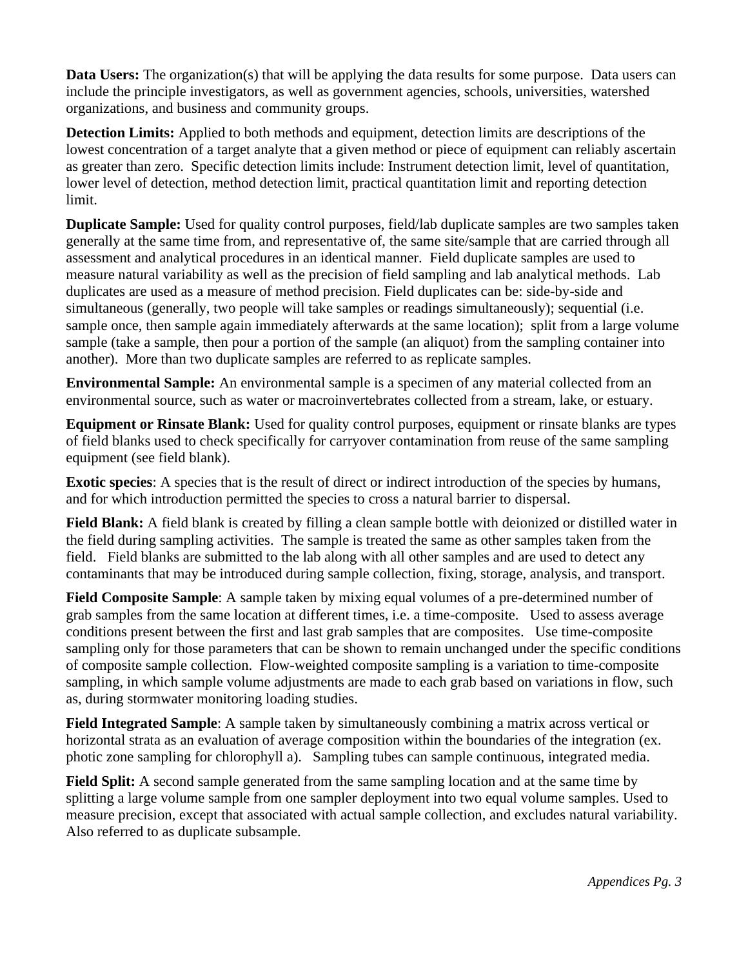**Data Users:** The organization(s) that will be applying the data results for some purpose. Data users can include the principle investigators, as well as government agencies, schools, universities, watershed organizations, and business and community groups.

**Detection Limits:** Applied to both methods and equipment, detection limits are descriptions of the lowest concentration of a target analyte that a given method or piece of equipment can reliably ascertain as greater than zero. Specific detection limits include: Instrument detection limit, level of quantitation, lower level of detection, method detection limit, practical quantitation limit and reporting detection limit.

**Duplicate Sample:** Used for quality control purposes, field/lab duplicate samples are two samples taken generally at the same time from, and representative of, the same site/sample that are carried through all assessment and analytical procedures in an identical manner. Field duplicate samples are used to measure natural variability as well as the precision of field sampling and lab analytical methods. Lab duplicates are used as a measure of method precision. Field duplicates can be: side-by-side and simultaneous (generally, two people will take samples or readings simultaneously); sequential (i.e. sample once, then sample again immediately afterwards at the same location); split from a large volume sample (take a sample, then pour a portion of the sample (an aliquot) from the sampling container into another). More than two duplicate samples are referred to as replicate samples.

**Environmental Sample:** An environmental sample is a specimen of any material collected from an environmental source, such as water or macroinvertebrates collected from a stream, lake, or estuary.

**Equipment or Rinsate Blank:** Used for quality control purposes, equipment or rinsate blanks are types of field blanks used to check specifically for carryover contamination from reuse of the same sampling equipment (see field blank).

**Exotic species**: A species that is the result of direct or indirect introduction of the species by humans, and for which introduction permitted the species to cross a natural barrier to dispersal.

**Field Blank:** A field blank is created by filling a clean sample bottle with deionized or distilled water in the field during sampling activities. The sample is treated the same as other samples taken from the field. Field blanks are submitted to the lab along with all other samples and are used to detect any contaminants that may be introduced during sample collection, fixing, storage, analysis, and transport.

**Field Composite Sample**: A sample taken by mixing equal volumes of a pre-determined number of grab samples from the same location at different times, i.e. a time-composite. Used to assess average conditions present between the first and last grab samples that are composites. Use time-composite sampling only for those parameters that can be shown to remain unchanged under the specific conditions of composite sample collection. Flow-weighted composite sampling is a variation to time-composite sampling, in which sample volume adjustments are made to each grab based on variations in flow, such as, during stormwater monitoring loading studies.

**Field Integrated Sample**: A sample taken by simultaneously combining a matrix across vertical or horizontal strata as an evaluation of average composition within the boundaries of the integration (ex. photic zone sampling for chlorophyll a). Sampling tubes can sample continuous, integrated media.

**Field Split:** A second sample generated from the same sampling location and at the same time by splitting a large volume sample from one sampler deployment into two equal volume samples. Used to measure precision, except that associated with actual sample collection, and excludes natural variability. Also referred to as duplicate subsample.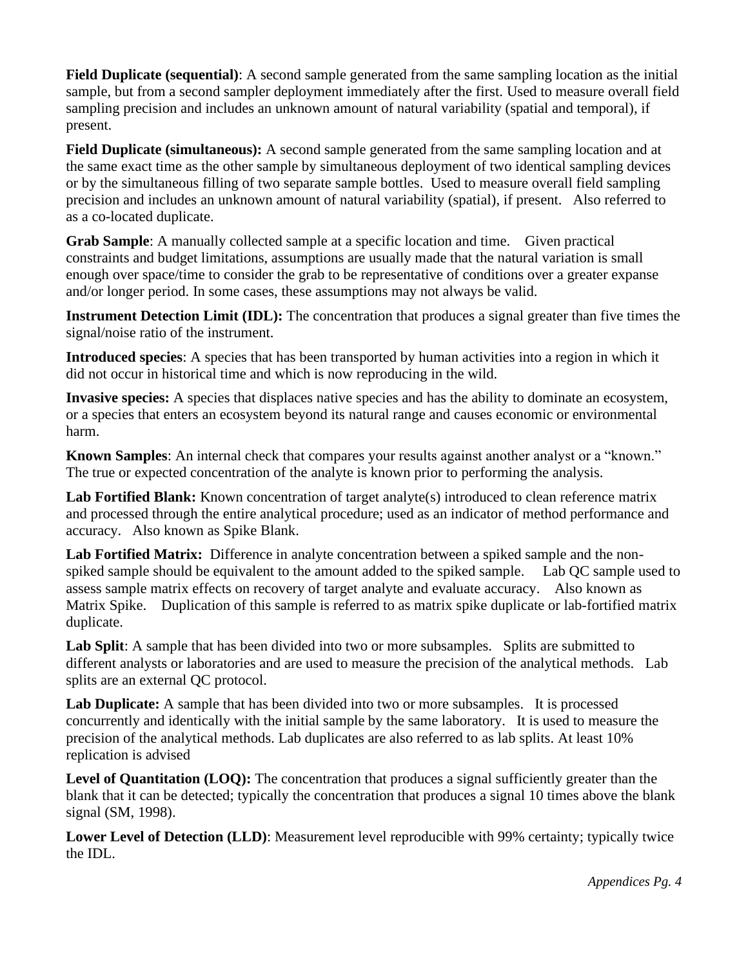**Field Duplicate (sequential)**: A second sample generated from the same sampling location as the initial sample, but from a second sampler deployment immediately after the first. Used to measure overall field sampling precision and includes an unknown amount of natural variability (spatial and temporal), if present.

**Field Duplicate (simultaneous):** A second sample generated from the same sampling location and at the same exact time as the other sample by simultaneous deployment of two identical sampling devices or by the simultaneous filling of two separate sample bottles. Used to measure overall field sampling precision and includes an unknown amount of natural variability (spatial), if present. Also referred to as a co-located duplicate.

**Grab Sample**: A manually collected sample at a specific location and time. Given practical constraints and budget limitations, assumptions are usually made that the natural variation is small enough over space/time to consider the grab to be representative of conditions over a greater expanse and/or longer period. In some cases, these assumptions may not always be valid.

**Instrument Detection Limit (IDL):** The concentration that produces a signal greater than five times the signal/noise ratio of the instrument.

**Introduced species**: A species that has been transported by human activities into a region in which it did not occur in historical time and which is now reproducing in the wild.

**Invasive species:** A species that displaces native species and has the ability to dominate an ecosystem, or a species that enters an ecosystem beyond its natural range and causes economic or environmental harm.

**Known Samples**: An internal check that compares your results against another analyst or a "known." The true or expected concentration of the analyte is known prior to performing the analysis.

Lab Fortified Blank: Known concentration of target analyte(s) introduced to clean reference matrix and processed through the entire analytical procedure; used as an indicator of method performance and accuracy. Also known as Spike Blank.

**Lab Fortified Matrix:** Difference in analyte concentration between a spiked sample and the nonspiked sample should be equivalent to the amount added to the spiked sample. Lab QC sample used to assess sample matrix effects on recovery of target analyte and evaluate accuracy. Also known as Matrix Spike. Duplication of this sample is referred to as matrix spike duplicate or lab-fortified matrix duplicate.

**Lab Split**: A sample that has been divided into two or more subsamples. Splits are submitted to different analysts or laboratories and are used to measure the precision of the analytical methods. Lab splits are an external QC protocol.

**Lab Duplicate:** A sample that has been divided into two or more subsamples. It is processed concurrently and identically with the initial sample by the same laboratory. It is used to measure the precision of the analytical methods. Lab duplicates are also referred to as lab splits. At least 10% replication is advised

Level of Quantitation (LOQ): The concentration that produces a signal sufficiently greater than the blank that it can be detected; typically the concentration that produces a signal 10 times above the blank signal (SM, 1998).

**Lower Level of Detection (LLD)**: Measurement level reproducible with 99% certainty; typically twice the IDL.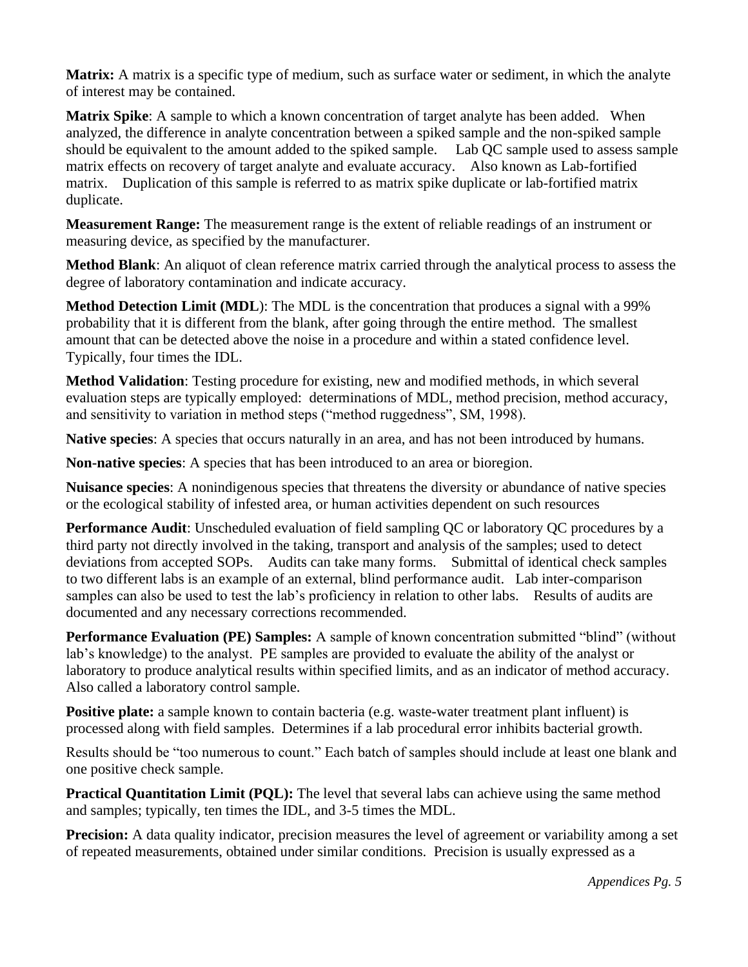**Matrix:** A matrix is a specific type of medium, such as surface water or sediment, in which the analyte of interest may be contained.

**Matrix Spike**: A sample to which a known concentration of target analyte has been added. When analyzed, the difference in analyte concentration between a spiked sample and the non-spiked sample should be equivalent to the amount added to the spiked sample. Lab QC sample used to assess sample matrix effects on recovery of target analyte and evaluate accuracy. Also known as Lab-fortified matrix. Duplication of this sample is referred to as matrix spike duplicate or lab-fortified matrix duplicate.

**Measurement Range:** The measurement range is the extent of reliable readings of an instrument or measuring device, as specified by the manufacturer.

**Method Blank**: An aliquot of clean reference matrix carried through the analytical process to assess the degree of laboratory contamination and indicate accuracy.

**Method Detection Limit (MDL)**: The MDL is the concentration that produces a signal with a 99% probability that it is different from the blank, after going through the entire method. The smallest amount that can be detected above the noise in a procedure and within a stated confidence level. Typically, four times the IDL.

**Method Validation**: Testing procedure for existing, new and modified methods, in which several evaluation steps are typically employed: determinations of MDL, method precision, method accuracy, and sensitivity to variation in method steps ("method ruggedness", SM, 1998).

**Native species**: A species that occurs naturally in an area, and has not been introduced by humans.

**Non-native species**: A species that has been introduced to an area or bioregion.

**Nuisance species**: A nonindigenous species that threatens the diversity or abundance of native species or the ecological stability of infested area, or human activities dependent on such resources

**Performance Audit:** Unscheduled evaluation of field sampling QC or laboratory QC procedures by a third party not directly involved in the taking, transport and analysis of the samples; used to detect deviations from accepted SOPs. Audits can take many forms. Submittal of identical check samples to two different labs is an example of an external, blind performance audit. Lab inter-comparison samples can also be used to test the lab's proficiency in relation to other labs. Results of audits are documented and any necessary corrections recommended.

**Performance Evaluation (PE) Samples:** A sample of known concentration submitted "blind" (without lab's knowledge) to the analyst. PE samples are provided to evaluate the ability of the analyst or laboratory to produce analytical results within specified limits, and as an indicator of method accuracy. Also called a laboratory control sample.

**Positive plate:** a sample known to contain bacteria (e.g. waste-water treatment plant influent) is processed along with field samples. Determines if a lab procedural error inhibits bacterial growth.

Results should be "too numerous to count." Each batch of samples should include at least one blank and one positive check sample.

**Practical Quantitation Limit (PQL):** The level that several labs can achieve using the same method and samples; typically, ten times the IDL, and 3-5 times the MDL.

**Precision:** A data quality indicator, precision measures the level of agreement or variability among a set of repeated measurements, obtained under similar conditions. Precision is usually expressed as a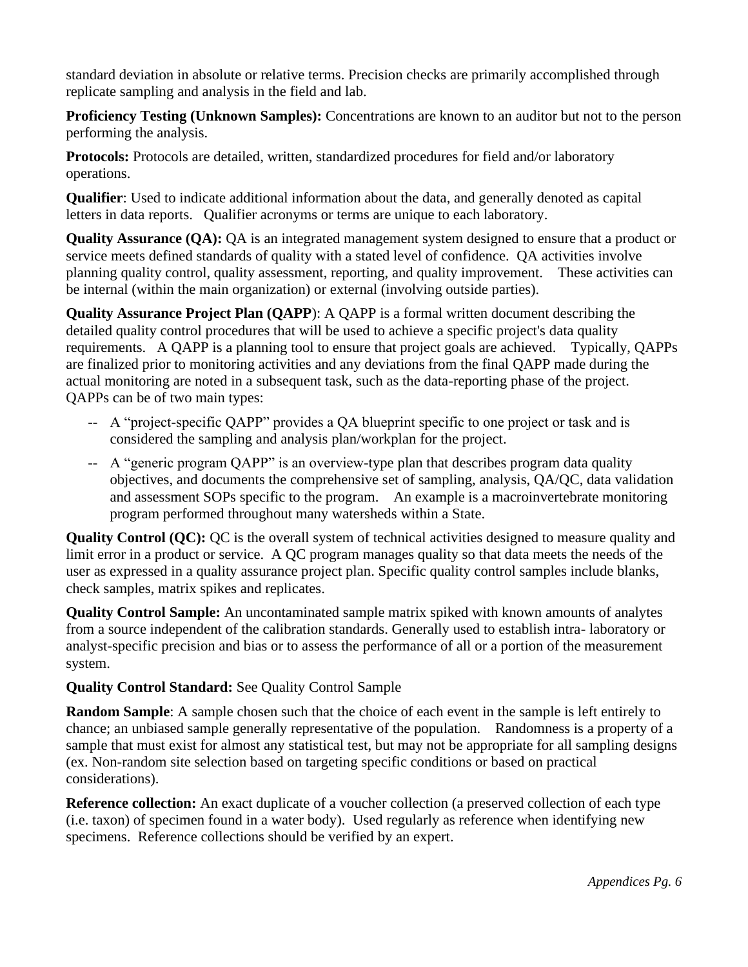standard deviation in absolute or relative terms. Precision checks are primarily accomplished through replicate sampling and analysis in the field and lab.

**Proficiency Testing (Unknown Samples):** Concentrations are known to an auditor but not to the person performing the analysis.

**Protocols:** Protocols are detailed, written, standardized procedures for field and/or laboratory operations.

**Qualifier**: Used to indicate additional information about the data, and generally denoted as capital letters in data reports. Qualifier acronyms or terms are unique to each laboratory.

**Quality Assurance (QA):** QA is an integrated management system designed to ensure that a product or service meets defined standards of quality with a stated level of confidence. QA activities involve planning quality control, quality assessment, reporting, and quality improvement. These activities can be internal (within the main organization) or external (involving outside parties).

**Quality Assurance Project Plan (QAPP**): A QAPP is a formal written document describing the detailed quality control procedures that will be used to achieve a specific project's data quality requirements. A QAPP is a planning tool to ensure that project goals are achieved. Typically, QAPPs are finalized prior to monitoring activities and any deviations from the final QAPP made during the actual monitoring are noted in a subsequent task, such as the data-reporting phase of the project. QAPPs can be of two main types:

- -- A "project-specific QAPP" provides a QA blueprint specific to one project or task and is considered the sampling and analysis plan/workplan for the project.
- -- A "generic program QAPP" is an overview-type plan that describes program data quality objectives, and documents the comprehensive set of sampling, analysis, QA/QC, data validation and assessment SOPs specific to the program. An example is a macroinvertebrate monitoring program performed throughout many watersheds within a State.

**Quality Control (QC):** QC is the overall system of technical activities designed to measure quality and limit error in a product or service. A QC program manages quality so that data meets the needs of the user as expressed in a quality assurance project plan. Specific quality control samples include blanks, check samples, matrix spikes and replicates.

**Quality Control Sample:** An uncontaminated sample matrix spiked with known amounts of analytes from a source independent of the calibration standards. Generally used to establish intra- laboratory or analyst-specific precision and bias or to assess the performance of all or a portion of the measurement system.

# **Quality Control Standard:** See Quality Control Sample

**Random Sample**: A sample chosen such that the choice of each event in the sample is left entirely to chance; an unbiased sample generally representative of the population. Randomness is a property of a sample that must exist for almost any statistical test, but may not be appropriate for all sampling designs (ex. Non-random site selection based on targeting specific conditions or based on practical considerations).

**Reference collection:** An exact duplicate of a voucher collection (a preserved collection of each type (i.e. taxon) of specimen found in a water body). Used regularly as reference when identifying new specimens. Reference collections should be verified by an expert.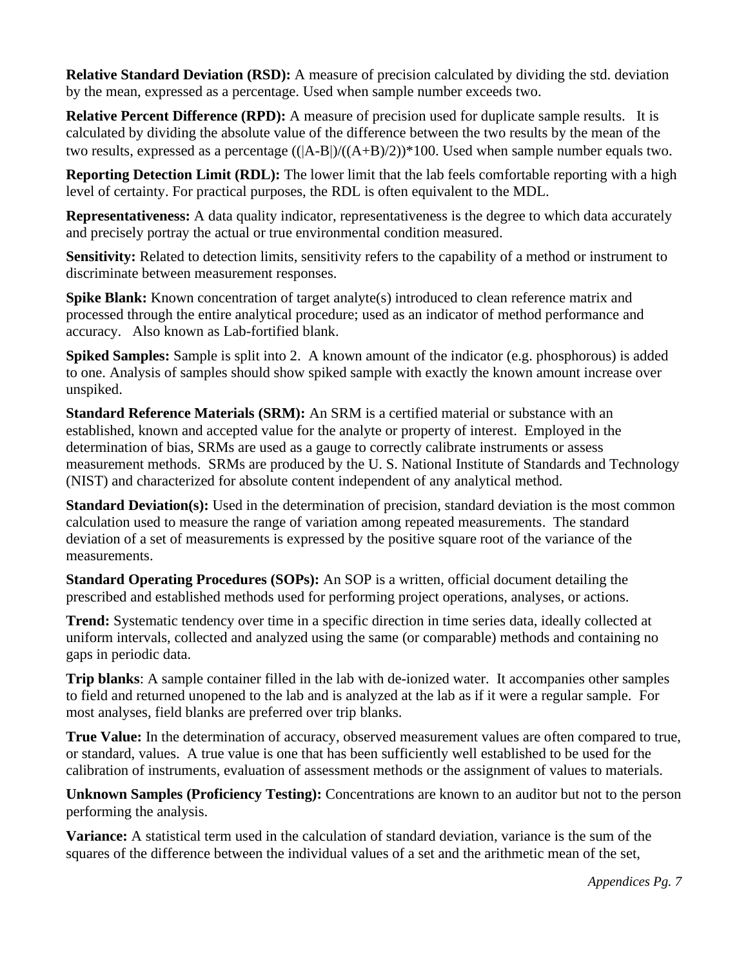**Relative Standard Deviation (RSD):** A measure of precision calculated by dividing the std. deviation by the mean, expressed as a percentage. Used when sample number exceeds two.

**Relative Percent Difference (RPD):** A measure of precision used for duplicate sample results. It is calculated by dividing the absolute value of the difference between the two results by the mean of the two results, expressed as a percentage  $((A-B)/(A+B)/2))*100$ . Used when sample number equals two.

**Reporting Detection Limit (RDL):** The lower limit that the lab feels comfortable reporting with a high level of certainty. For practical purposes, the RDL is often equivalent to the MDL.

**Representativeness:** A data quality indicator, representativeness is the degree to which data accurately and precisely portray the actual or true environmental condition measured.

**Sensitivity:** Related to detection limits, sensitivity refers to the capability of a method or instrument to discriminate between measurement responses.

**Spike Blank:** Known concentration of target analyte(s) introduced to clean reference matrix and processed through the entire analytical procedure; used as an indicator of method performance and accuracy. Also known as Lab-fortified blank.

**Spiked Samples:** Sample is split into 2. A known amount of the indicator (e.g. phosphorous) is added to one. Analysis of samples should show spiked sample with exactly the known amount increase over unspiked.

**Standard Reference Materials (SRM):** An SRM is a certified material or substance with an established, known and accepted value for the analyte or property of interest. Employed in the determination of bias, SRMs are used as a gauge to correctly calibrate instruments or assess measurement methods. SRMs are produced by the U. S. National Institute of Standards and Technology (NIST) and characterized for absolute content independent of any analytical method.

**Standard Deviation(s):** Used in the determination of precision, standard deviation is the most common calculation used to measure the range of variation among repeated measurements. The standard deviation of a set of measurements is expressed by the positive square root of the variance of the measurements.

**Standard Operating Procedures (SOPs):** An SOP is a written, official document detailing the prescribed and established methods used for performing project operations, analyses, or actions.

**Trend:** Systematic tendency over time in a specific direction in time series data, ideally collected at uniform intervals, collected and analyzed using the same (or comparable) methods and containing no gaps in periodic data.

**Trip blanks**: A sample container filled in the lab with de-ionized water. It accompanies other samples to field and returned unopened to the lab and is analyzed at the lab as if it were a regular sample. For most analyses, field blanks are preferred over trip blanks.

**True Value:** In the determination of accuracy, observed measurement values are often compared to true, or standard, values. A true value is one that has been sufficiently well established to be used for the calibration of instruments, evaluation of assessment methods or the assignment of values to materials.

**Unknown Samples (Proficiency Testing):** Concentrations are known to an auditor but not to the person performing the analysis.

**Variance:** A statistical term used in the calculation of standard deviation, variance is the sum of the squares of the difference between the individual values of a set and the arithmetic mean of the set,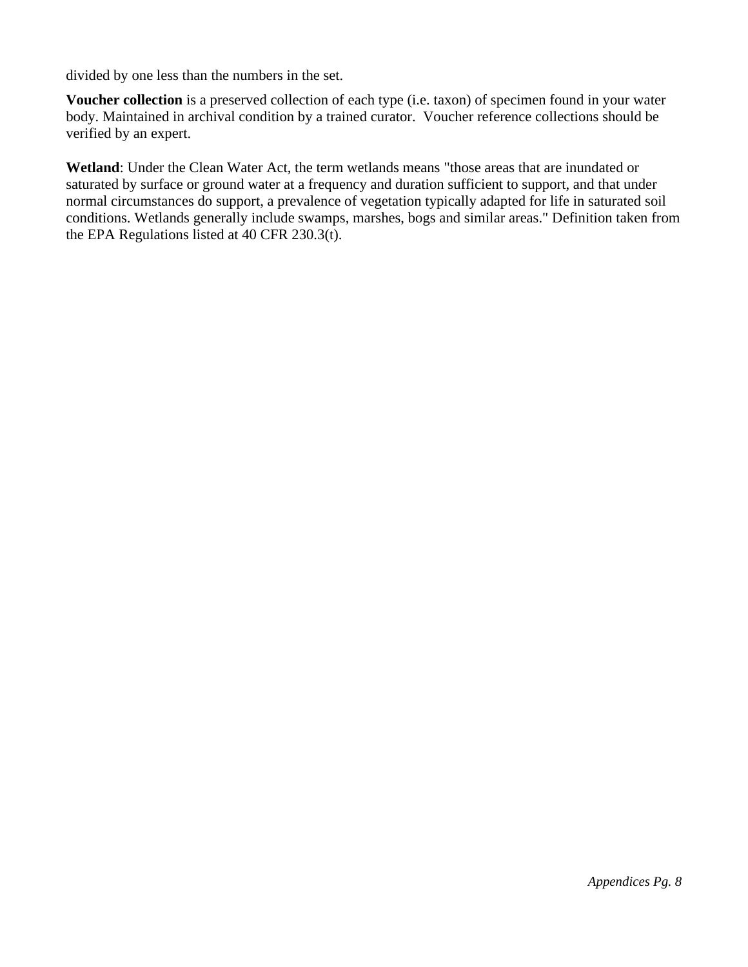divided by one less than the numbers in the set.

**Voucher collection** is a preserved collection of each type (i.e. taxon) of specimen found in your water body. Maintained in archival condition by a trained curator. Voucher reference collections should be verified by an expert.

**Wetland**: Under the Clean Water Act, the term wetlands means "those areas that are inundated or saturated by surface or ground water at a frequency and duration sufficient to support, and that under normal circumstances do support, a prevalence of vegetation typically adapted for life in saturated soil conditions. Wetlands generally include swamps, marshes, bogs and similar areas." Definition taken from the EPA Regulations listed at 40 CFR 230.3(t).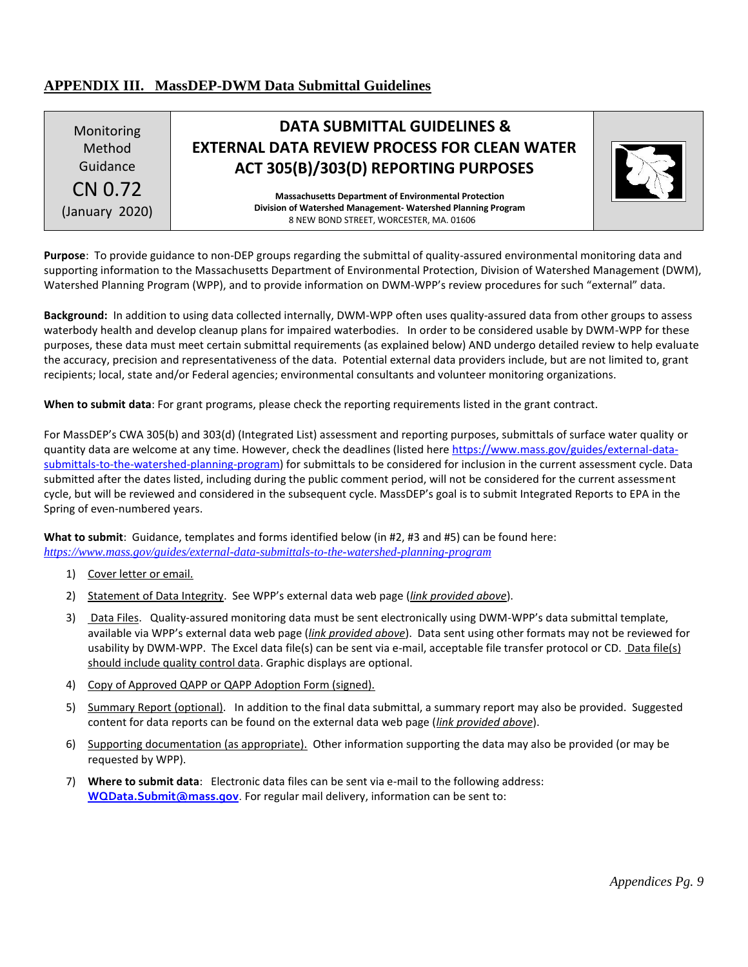## <span id="page-38-0"></span>**APPENDIX III. MassDEP-DWM Data Submittal Guidelines**

| Monitoring<br>Method<br>Guidance | <b>DATA SUBMITTAL GUIDELINES &amp;</b><br><b>EXTERNAL DATA REVIEW PROCESS FOR CLEAN WATER</b><br>ACT 305(B)/303(D) REPORTING PURPOSES                                 |  |
|----------------------------------|-----------------------------------------------------------------------------------------------------------------------------------------------------------------------|--|
| CN 0.72<br>(January 2020)        | <b>Massachusetts Department of Environmental Protection</b><br>Division of Watershed Management-Watershed Planning Program<br>8 NEW BOND STREET, WORCESTER, MA. 01606 |  |

**Purpose**: To provide guidance to non-DEP groups regarding the submittal of quality-assured environmental monitoring data and supporting information to the Massachusetts Department of Environmental Protection, Division of Watershed Management (DWM), Watershed Planning Program (WPP), and to provide information on DWM-WPP's review procedures for such "external" data.

**Background:** In addition to using data collected internally, DWM-WPP often uses quality-assured data from other groups to assess waterbody health and develop cleanup plans for impaired waterbodies. In order to be considered usable by DWM-WPP for these purposes, these data must meet certain submittal requirements (as explained below) AND undergo detailed review to help evaluate the accuracy, precision and representativeness of the data. Potential external data providers include, but are not limited to, grant recipients; local, state and/or Federal agencies; environmental consultants and volunteer monitoring organizations.

**When to submit data**: For grant programs, please check the reporting requirements listed in the grant contract.

For MassDEP's CWA 305(b) and 303(d) (Integrated List) assessment and reporting purposes, submittals of surface water quality or quantity data are welcome at any time. However, check the deadlines (listed here [https://www.mass.gov/guides/external-data](https://www.mass.gov/guides/external-data-submittals-to-the-watershed-planning-program)[submittals-to-the-watershed-planning-program\)](https://www.mass.gov/guides/external-data-submittals-to-the-watershed-planning-program) for submittals to be considered for inclusion in the current assessment cycle. Data submitted after the dates listed, including during the public comment period, will not be considered for the current assessment cycle, but will be reviewed and considered in the subsequent cycle. MassDEP's goal is to submit Integrated Reports to EPA in the Spring of even-numbered years.

**What to submit**: Guidance, templates and forms identified below (in #2, #3 and #5) can be found here: *<https://www.mass.gov/guides/external-data-submittals-to-the-watershed-planning-program>*

- 1) Cover letter or email.
- 2) Statement of Data Integrity. See WPP's external data web page (*link provided above*).
- 3) Data Files. Quality-assured monitoring data must be sent electronically using DWM-WPP's data submittal template, available via WPP's external data web page (*link provided above*). Data sent using other formats may not be reviewed for usability by DWM-WPP. The Excel data file(s) can be sent via e-mail, acceptable file transfer protocol or CD. Data file(s) should include quality control data. Graphic displays are optional.
- 4) Copy of Approved QAPP or QAPP Adoption Form (signed).
- 5) Summary Report (optional). In addition to the final data submittal, a summary report may also be provided. Suggested content for data reports can be found on the external data web page (*link provided above*).
- 6) Supporting documentation (as appropriate). Other information supporting the data may also be provided (or may be requested by WPP).
- 7) **Where to submit data**: Electronic data files can be sent via e-mail to the following address: **[WQData.Submit@mass.gov](mailto:WQData.Submit@mass.gov)**. For regular mail delivery, information can be sent to: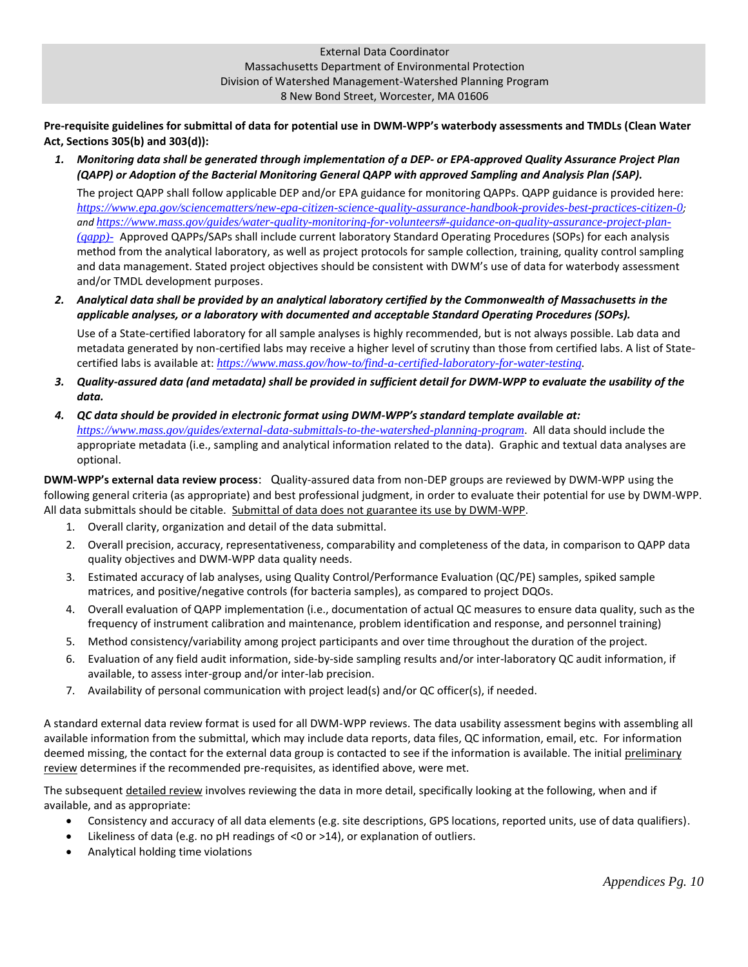**Pre-requisite guidelines for submittal of data for potential use in DWM-WPP's waterbody assessments and TMDLs (Clean Water Act, Sections 305(b) and 303(d)):**

*1. Monitoring data shall be generated through implementation of a DEP- or EPA-approved Quality Assurance Project Plan (QAPP) or Adoption of the Bacterial Monitoring General QAPP with approved Sampling and Analysis Plan (SAP).* 

The project QAPP shall follow applicable DEP and/or EPA guidance for monitoring QAPPs. QAPP guidance is provided here: *<https://www.epa.gov/sciencematters/new-epa-citizen-science-quality-assurance-handbook-provides-best-practices-citizen-0>; and [https://www.mass.gov/guides/water-quality-monitoring-for-volunteers#-guidance-on-quality-assurance-project-plan-](https://www.mass.gov/guides/water-quality-monitoring-for-volunteers#-guidance-on-quality-assurance-project-plan-(qapp)-) [\(qapp\)-](https://www.mass.gov/guides/water-quality-monitoring-for-volunteers#-guidance-on-quality-assurance-project-plan-(qapp)-)* Approved QAPPs/SAPs shall include current laboratory Standard Operating Procedures (SOPs) for each analysis method from the analytical laboratory, as well as project protocols for sample collection, training, quality control sampling and data management. Stated project objectives should be consistent with DWM's use of data for waterbody assessment and/or TMDL development purposes.

*2. Analytical data shall be provided by an analytical laboratory certified by the Commonwealth of Massachusetts in the applicable analyses, or a laboratory with documented and acceptable Standard Operating Procedures (SOPs).* 

Use of a State-certified laboratory for all sample analyses is highly recommended, but is not always possible. Lab data and metadata generated by non-certified labs may receive a higher level of scrutiny than those from certified labs. A list of Statecertified labs is available at: *[https://www.mass.gov/how-to/find-a-certified-laboratory-for-water-testing.](https://www.mass.gov/how-to/find-a-certified-laboratory-for-water-testing)*

- *3. Quality-assured data (and metadata) shall be provided in sufficient detail for DWM-WPP to evaluate the usability of the data.*
- *4. QC data should be provided in electronic format using DWM-WPP's standard template available at: <https://www.mass.gov/guides/external-data-submittals-to-the-watershed-planning-program>*. All data should include the appropriate metadata (i.e., sampling and analytical information related to the data). Graphic and textual data analyses are optional.

**DWM-WPP's external data review process**: Quality-assured data from non-DEP groups are reviewed by DWM-WPP using the following general criteria (as appropriate) and best professional judgment, in order to evaluate their potential for use by DWM-WPP. All data submittals should be citable. Submittal of data does not guarantee its use by DWM-WPP.

- 1. Overall clarity, organization and detail of the data submittal.
- 2. Overall precision, accuracy, representativeness, comparability and completeness of the data, in comparison to QAPP data quality objectives and DWM-WPP data quality needs.
- 3. Estimated accuracy of lab analyses, using Quality Control/Performance Evaluation (QC/PE) samples, spiked sample matrices, and positive/negative controls (for bacteria samples), as compared to project DQOs.
- 4. Overall evaluation of QAPP implementation (i.e., documentation of actual QC measures to ensure data quality, such as the frequency of instrument calibration and maintenance, problem identification and response, and personnel training)
- 5. Method consistency/variability among project participants and over time throughout the duration of the project.
- 6. Evaluation of any field audit information, side-by-side sampling results and/or inter-laboratory QC audit information, if available, to assess inter-group and/or inter-lab precision.
- 7. Availability of personal communication with project lead(s) and/or QC officer(s), if needed.

A standard external data review format is used for all DWM-WPP reviews. The data usability assessment begins with assembling all available information from the submittal, which may include data reports, data files, QC information, email, etc. For information deemed missing, the contact for the external data group is contacted to see if the information is available. The initial preliminary review determines if the recommended pre-requisites, as identified above, were met.

The subsequent detailed review involves reviewing the data in more detail, specifically looking at the following, when and if available, and as appropriate:

- Consistency and accuracy of all data elements (e.g. site descriptions, GPS locations, reported units, use of data qualifiers).
- Likeliness of data (e.g. no pH readings of <0 or >14), or explanation of outliers.
- Analytical holding time violations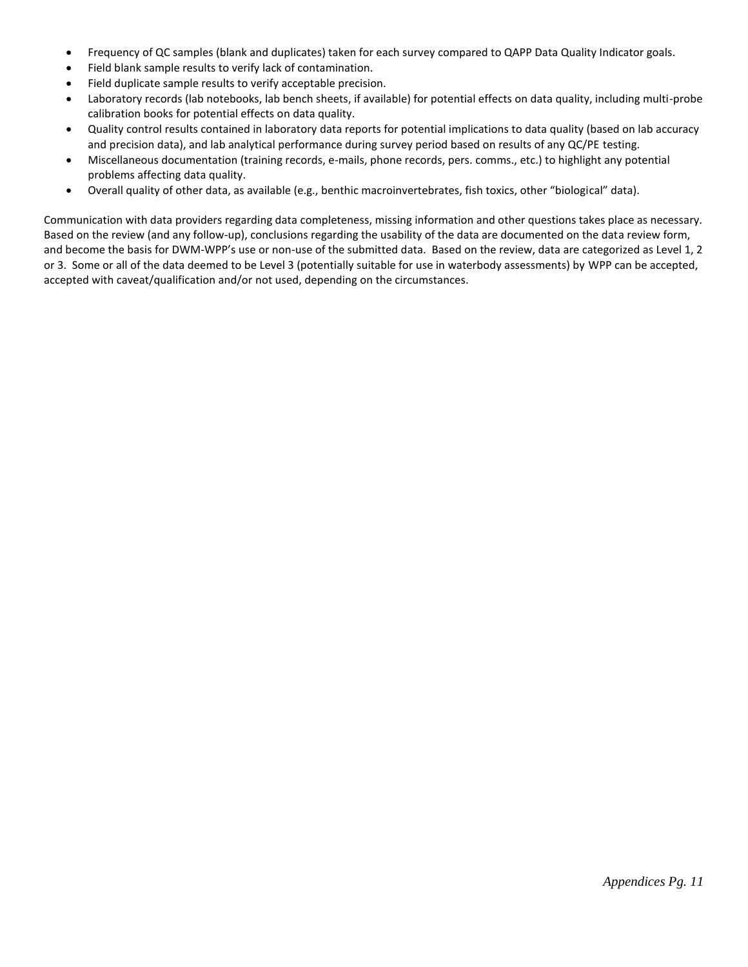- Frequency of QC samples (blank and duplicates) taken for each survey compared to QAPP Data Quality Indicator goals.
- Field blank sample results to verify lack of contamination.
- Field duplicate sample results to verify acceptable precision.
- Laboratory records (lab notebooks, lab bench sheets, if available) for potential effects on data quality, including multi-probe calibration books for potential effects on data quality.
- Quality control results contained in laboratory data reports for potential implications to data quality (based on lab accuracy and precision data), and lab analytical performance during survey period based on results of any QC/PE testing.
- Miscellaneous documentation (training records, e-mails, phone records, pers. comms., etc.) to highlight any potential problems affecting data quality.
- Overall quality of other data, as available (e.g., benthic macroinvertebrates, fish toxics, other "biological" data).

Communication with data providers regarding data completeness, missing information and other questions takes place as necessary. Based on the review (and any follow-up), conclusions regarding the usability of the data are documented on the data review form, and become the basis for DWM-WPP's use or non-use of the submitted data. Based on the review, data are categorized as Level 1, 2 or 3. Some or all of the data deemed to be Level 3 (potentially suitable for use in waterbody assessments) by WPP can be accepted, accepted with caveat/qualification and/or not used, depending on the circumstances.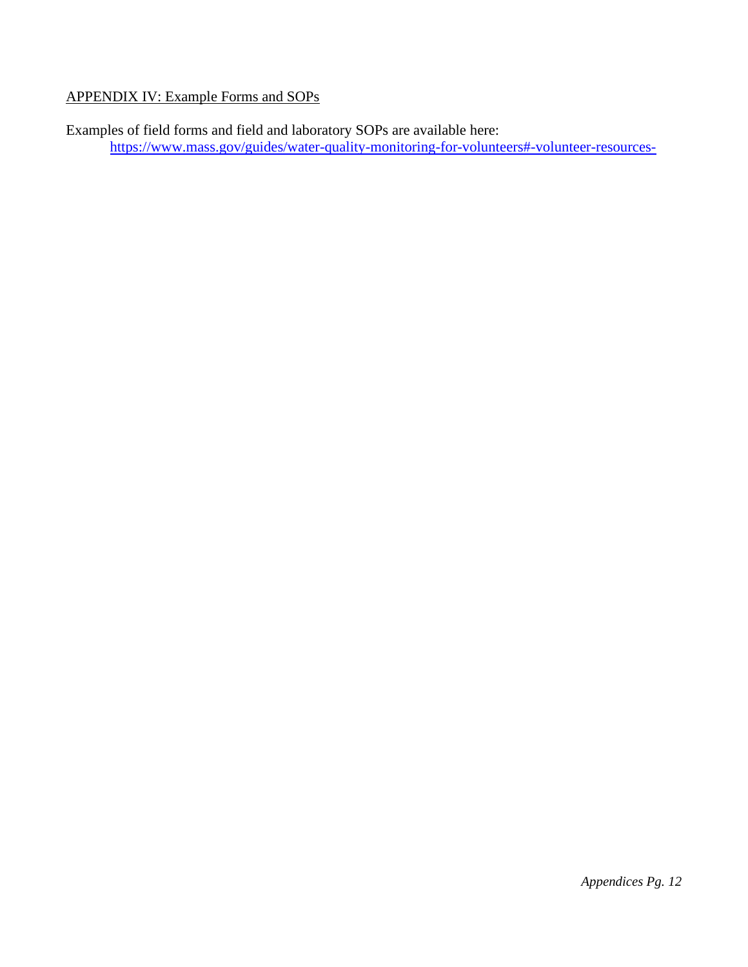# <span id="page-41-0"></span>APPENDIX IV: Example Forms and SOPs

Examples of field forms and field and laboratory SOPs are available here: <https://www.mass.gov/guides/water-quality-monitoring-for-volunteers#-volunteer-resources->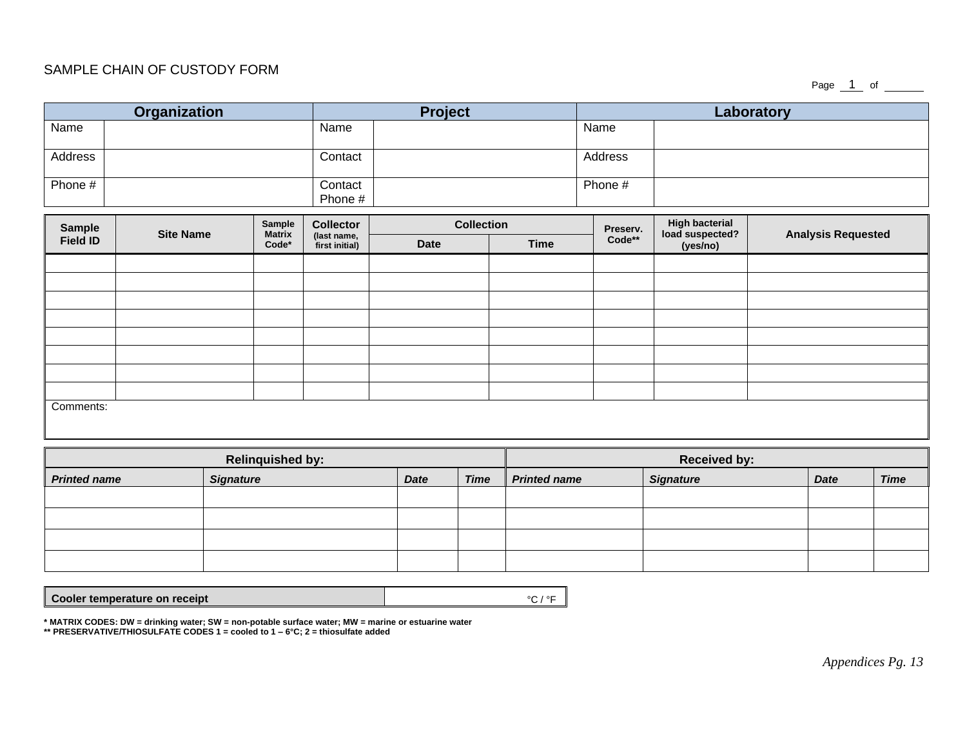#### SAMPLE CHAIN OF CUSTODY FORM

Page  $1$  of  $\_\_$ 

|                             | Organization     |                         |                               | <b>Project</b> |                   |                                                       | Laboratory |                             |                           |         |                  |
|-----------------------------|------------------|-------------------------|-------------------------------|----------------|-------------------|-------------------------------------------------------|------------|-----------------------------|---------------------------|---------|------------------|
| Name                        |                  |                         | Name                          |                |                   |                                                       | Name       |                             |                           |         |                  |
| Address                     |                  |                         | Contact                       |                |                   |                                                       | Address    |                             |                           |         |                  |
| Phone #                     |                  |                         | Contact<br>Phone #            |                |                   |                                                       | Phone #    |                             |                           |         |                  |
| <b>Sample</b>               |                  | Sample                  | <b>Collector</b>              |                | <b>Collection</b> |                                                       | Preserv.   | <b>High bacterial</b>       | <b>Analysis Requested</b> |         |                  |
| <b>Field ID</b>             | <b>Site Name</b> | <b>Matrix</b><br>Code*  | (last name,<br>first initial) | <b>Date</b>    |                   | <b>Time</b>                                           | $Code**$   | load suspected?<br>(yes/no) |                           |         |                  |
|                             |                  |                         |                               |                |                   |                                                       |            |                             |                           |         |                  |
|                             |                  |                         |                               |                |                   |                                                       |            |                             |                           |         |                  |
|                             |                  |                         |                               |                |                   |                                                       |            |                             |                           |         |                  |
|                             |                  |                         |                               |                |                   |                                                       |            |                             |                           |         |                  |
|                             |                  |                         |                               |                |                   |                                                       |            |                             |                           |         |                  |
|                             |                  |                         |                               |                |                   |                                                       |            |                             |                           |         |                  |
|                             |                  |                         |                               |                |                   |                                                       |            |                             |                           |         |                  |
|                             |                  |                         |                               |                |                   |                                                       |            |                             |                           |         |                  |
| Comments:                   |                  |                         |                               |                |                   |                                                       |            |                             |                           |         |                  |
|                             |                  | <b>Relinquished by:</b> |                               |                |                   | <b>Received by:</b>                                   |            |                             |                           |         |                  |
| <b>Dutinghard</b> in a more |                  | $C$ in $A$ is $A$       |                               | $P - 4 -$      |                   | $T_{\text{max}}$ $\prod_{n=1}^{n} D_n t_{\text{max}}$ |            | $C$ interactions            |                           | $P = 4$ | $T_{\text{max}}$ |

| 1.3.1.1             |                  |             |             | .                   |                  |             |             |
|---------------------|------------------|-------------|-------------|---------------------|------------------|-------------|-------------|
| <b>Printed name</b> | <b>Signature</b> | <b>Date</b> | <b>Time</b> | <b>Printed name</b> | <b>Signature</b> | <b>Date</b> | <b>Time</b> |
|                     |                  |             |             |                     |                  |             |             |
|                     |                  |             |             |                     |                  |             |             |
|                     |                  |             |             |                     |                  |             |             |
|                     |                  |             |             |                     |                  |             |             |

**Cooler temperature on receipt**  $\text{C}$  **/ °F** 

**\* MATRIX CODES: DW = drinking water; SW = non-potable surface water; MW = marine or estuarine water**

**\*\* PRESERVATIVE/THIOSULFATE CODES 1 = cooled to 1 – 6°C; 2 = thiosulfate added**